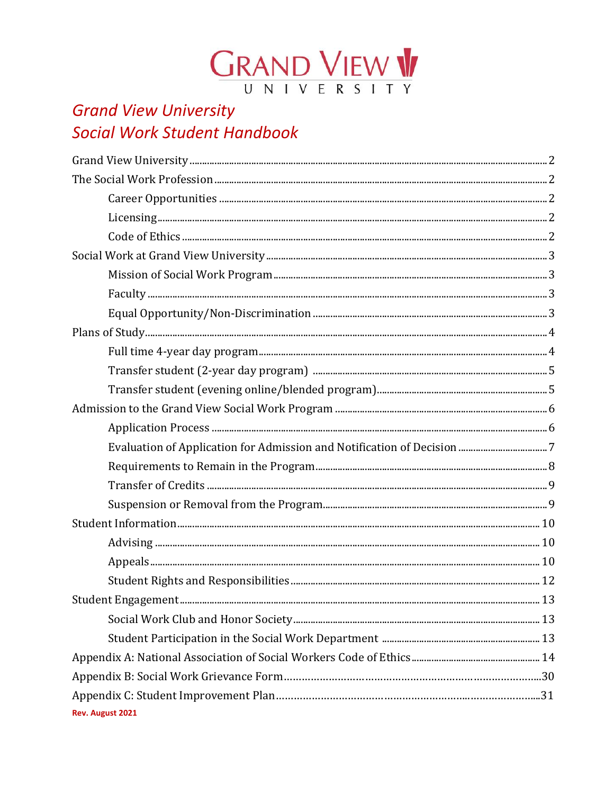

# **Grand View University Social Work Student Handbook**

| Rev. August 2021 |  |
|------------------|--|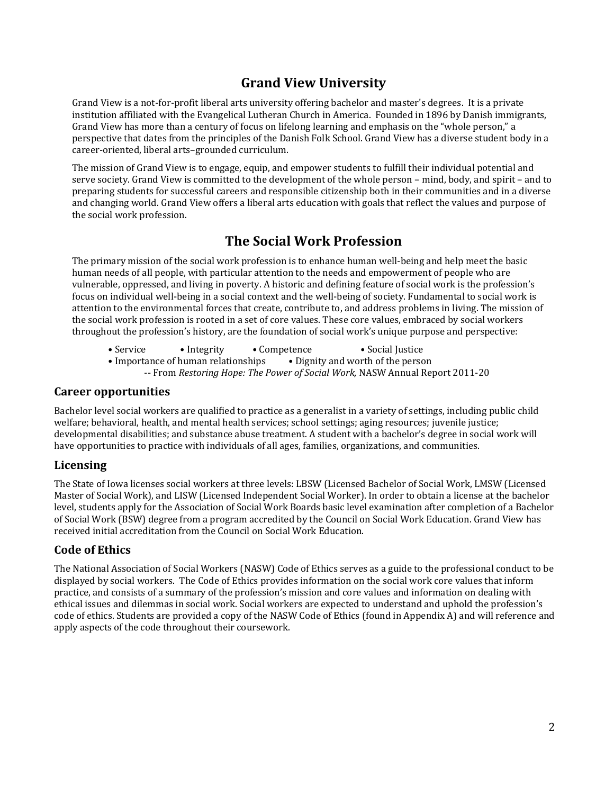## **Grand View University**

Grand View is a not-for-profit liberal arts university offering bachelor and master's degrees. It is a private institution affiliated with the Evangelical Lutheran Church in America. Founded in 1896 by Danish immigrants, Grand View has more than a century of focus on lifelong learning and emphasis on the "whole person," a perspective that dates from the principles of the Danish Folk School. Grand View has a diverse student body in a career-oriented, liberal arts–grounded curriculum.

The mission of Grand View is to engage, equip, and empower students to fulfill their individual potential and serve society. Grand View is committed to the development of the whole person – mind, body, and spirit – and to preparing students for successful careers and responsible citizenship both in their communities and in a diverse and changing world. Grand View offers a liberal arts education with goals that reflect the values and purpose of the social work profession.

## **The Social Work Profession**

The primary mission of the social work profession is to enhance human well-being and help meet the basic human needs of all people, with particular attention to the needs and empowerment of people who are vulnerable, oppressed, and living in poverty. A historic and defining feature of social work is the profession's focus on individual well-being in a social context and the well-being of society. Fundamental to social work is attention to the environmental forces that create, contribute to, and address problems in living. The mission of the social work profession is rooted in a set of core values. These core values, embraced by social workers throughout the profession's history, are the foundation of social work's unique purpose and perspective:

- Service Integrity Competence Social Justice
- Importance of human relationships Dignity and worth of the person -- From *Restoring Hope: The Power of Social Work,* NASW Annual Report 2011-20

## **Career opportunities**

Bachelor level social workers are qualified to practice as a generalist in a variety of settings, including public child welfare; behavioral, health, and mental health services; school settings; aging resources; juvenile justice; developmental disabilities; and substance abuse treatment. A student with a bachelor's degree in social work will have opportunities to practice with individuals of all ages, families, organizations, and communities.

## **Licensing**

The State of Iowa licenses social workers at three levels: LBSW (Licensed Bachelor of Social Work, LMSW (Licensed Master of Social Work), and LISW (Licensed Independent Social Worker). In order to obtain a license at the bachelor level, students apply for the Association of Social Work Boards basic level examination after completion of a Bachelor of Social Work (BSW) degree from a program accredited by the Council on Social Work Education. Grand View has received initial accreditation from the Council on Social Work Education.

## **Code of Ethics**

The National Association of Social Workers (NASW) Code of Ethics serves as a guide to the professional conduct to be displayed by social workers. The Code of Ethics provides information on the social work core values that inform practice, and consists of a summary of the profession's mission and core values and information on dealing with ethical issues and dilemmas in social work. Social workers are expected to understand and uphold the profession's code of ethics. Students are provided a copy of the NASW Code of Ethics (found in Appendix A) and will reference and apply aspects of the code throughout their coursework.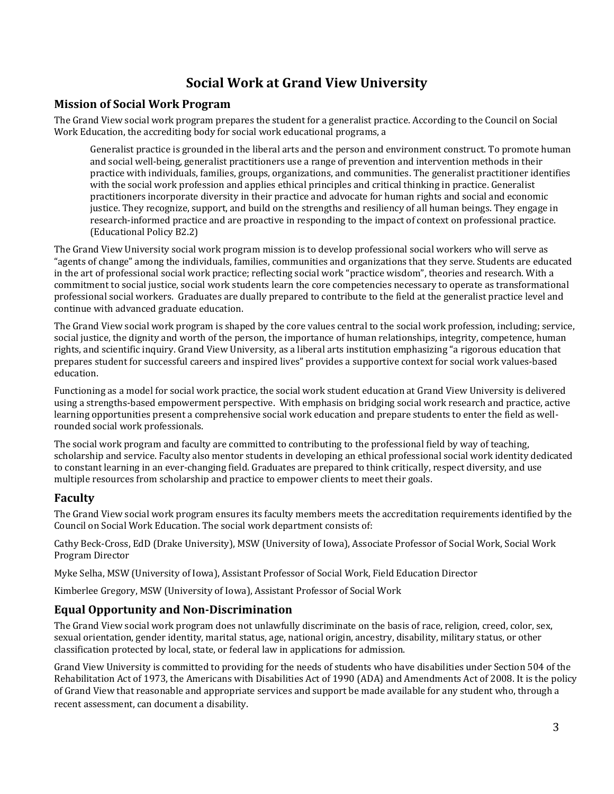## **Social Work at Grand View University**

## **Mission of Social Work Program**

The Grand View social work program prepares the student for a generalist practice. According to the Council on Social Work Education, the accrediting body for social work educational programs, a

Generalist practice is grounded in the liberal arts and the person and environment construct. To promote human and social well-being, generalist practitioners use a range of prevention and intervention methods in their practice with individuals, families, groups, organizations, and communities. The generalist practitioner identifies with the social work profession and applies ethical principles and critical thinking in practice. Generalist practitioners incorporate diversity in their practice and advocate for human rights and social and economic justice. They recognize, support, and build on the strengths and resiliency of all human beings. They engage in research-informed practice and are proactive in responding to the impact of context on professional practice. (Educational Policy B2.2)

The Grand View University social work program mission is to develop professional social workers who will serve as "agents of change" among the individuals, families, communities and organizations that they serve. Students are educated in the art of professional social work practice; reflecting social work "practice wisdom", theories and research. With a commitment to social justice, social work students learn the core competencies necessary to operate as transformational professional social workers. Graduates are dually prepared to contribute to the field at the generalist practice level and continue with advanced graduate education.

The Grand View social work program is shaped by the core values central to the social work profession, including; service, social justice, the dignity and worth of the person, the importance of human relationships, integrity, competence, human rights, and scientific inquiry. Grand View University, as a liberal arts institution emphasizing "a rigorous education that prepares student for successful careers and inspired lives" provides a supportive context for social work values-based education.

Functioning as a model for social work practice, the social work student education at Grand View University is delivered using a strengths-based empowerment perspective. With emphasis on bridging social work research and practice, active learning opportunities present a comprehensive social work education and prepare students to enter the field as wellrounded social work professionals.

The social work program and faculty are committed to contributing to the professional field by way of teaching, scholarship and service. Faculty also mentor students in developing an ethical professional social work identity dedicated to constant learning in an ever-changing field. Graduates are prepared to think critically, respect diversity, and use multiple resources from scholarship and practice to empower clients to meet their goals.

## **Faculty**

The Grand View social work program ensures its faculty members meets the accreditation requirements identified by the Council on Social Work Education. The social work department consists of:

Cathy Beck-Cross, EdD (Drake University), MSW (University of Iowa), Associate Professor of Social Work, Social Work Program Director

Myke Selha, MSW (University of Iowa), Assistant Professor of Social Work, Field Education Director

Kimberlee Gregory, MSW (University of Iowa), Assistant Professor of Social Work

## **Equal Opportunity and Non-Discrimination**

The Grand View social work program does not unlawfully discriminate on the basis of race, religion, creed, color, sex, sexual orientation, gender identity, marital status, age, national origin, ancestry, disability, military status, or other classification protected by local, state, or federal law in applications for admission.

Grand View University is committed to providing for the needs of students who have disabilities under Section 504 of the Rehabilitation Act of 1973, the Americans with Disabilities Act of 1990 (ADA) and Amendments Act of 2008. It is the policy of Grand View that reasonable and appropriate services and support be made available for any student who, through a recent assessment, can document a disability.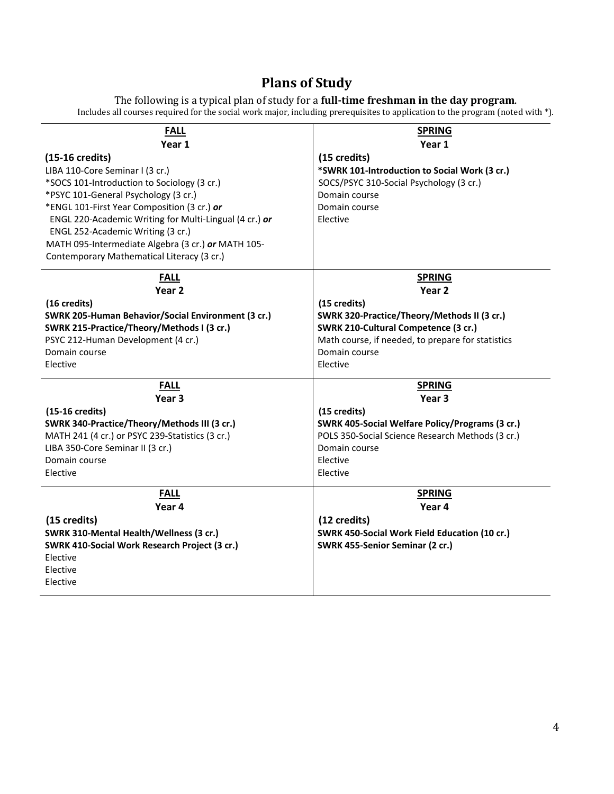# **Plans of Study**

#### The following is a typical plan of study for a **full-time freshman in the day program**. Includes all courses required for the social work major, including prerequisites to application to the program (noted with \*).

| <b>FALL</b>                                                                                                                                                                                                                                                  | <b>SPRING</b>                                                                                                                                          |
|--------------------------------------------------------------------------------------------------------------------------------------------------------------------------------------------------------------------------------------------------------------|--------------------------------------------------------------------------------------------------------------------------------------------------------|
| Year 1                                                                                                                                                                                                                                                       | Year 1                                                                                                                                                 |
| $(15-16 \text{ credits})$<br>LIBA 110-Core Seminar I (3 cr.)<br>*SOCS 101-Introduction to Sociology (3 cr.)<br>*PSYC 101-General Psychology (3 cr.)<br>*ENGL 101-First Year Composition (3 cr.) or<br>ENGL 220-Academic Writing for Multi-Lingual (4 cr.) or | (15 credits)<br>*SWRK 101-Introduction to Social Work (3 cr.)<br>SOCS/PSYC 310-Social Psychology (3 cr.)<br>Domain course<br>Domain course<br>Elective |
| ENGL 252-Academic Writing (3 cr.)<br>MATH 095-Intermediate Algebra (3 cr.) or MATH 105-<br>Contemporary Mathematical Literacy (3 cr.)                                                                                                                        |                                                                                                                                                        |
| <b>FALL</b>                                                                                                                                                                                                                                                  | <b>SPRING</b>                                                                                                                                          |
| Year <sub>2</sub>                                                                                                                                                                                                                                            | Year 2                                                                                                                                                 |
| (16 credits)                                                                                                                                                                                                                                                 | (15 credits)                                                                                                                                           |
| SWRK 205-Human Behavior/Social Environment (3 cr.)                                                                                                                                                                                                           | SWRK 320-Practice/Theory/Methods II (3 cr.)                                                                                                            |
| SWRK 215-Practice/Theory/Methods I (3 cr.)<br>PSYC 212-Human Development (4 cr.)                                                                                                                                                                             | <b>SWRK 210-Cultural Competence (3 cr.)</b><br>Math course, if needed, to prepare for statistics                                                       |
| Domain course                                                                                                                                                                                                                                                | Domain course                                                                                                                                          |
| Elective                                                                                                                                                                                                                                                     | Elective                                                                                                                                               |
|                                                                                                                                                                                                                                                              |                                                                                                                                                        |
| <b>FALL</b>                                                                                                                                                                                                                                                  | <b>SPRING</b>                                                                                                                                          |
| Year <sub>3</sub>                                                                                                                                                                                                                                            | Year <sub>3</sub>                                                                                                                                      |
| (15-16 credits)                                                                                                                                                                                                                                              | (15 credits)                                                                                                                                           |
| SWRK 340-Practice/Theory/Methods III (3 cr.)                                                                                                                                                                                                                 | <b>SWRK 405-Social Welfare Policy/Programs (3 cr.)</b>                                                                                                 |
| MATH 241 (4 cr.) or PSYC 239-Statistics (3 cr.)                                                                                                                                                                                                              | POLS 350-Social Science Research Methods (3 cr.)                                                                                                       |
| LIBA 350-Core Seminar II (3 cr.)                                                                                                                                                                                                                             | Domain course                                                                                                                                          |
| Domain course                                                                                                                                                                                                                                                | Elective                                                                                                                                               |
| Elective                                                                                                                                                                                                                                                     | Elective                                                                                                                                               |
| <b>FALL</b>                                                                                                                                                                                                                                                  | <b>SPRING</b>                                                                                                                                          |
| Year 4                                                                                                                                                                                                                                                       | Year 4                                                                                                                                                 |
| (15 credits)                                                                                                                                                                                                                                                 | (12 credits)                                                                                                                                           |
| SWRK 310-Mental Health/Wellness (3 cr.)                                                                                                                                                                                                                      | SWRK 450-Social Work Field Education (10 cr.)                                                                                                          |
| SWRK 410-Social Work Research Project (3 cr.)                                                                                                                                                                                                                | SWRK 455-Senior Seminar (2 cr.)                                                                                                                        |
| Elective<br>Elective                                                                                                                                                                                                                                         |                                                                                                                                                        |
| Elective                                                                                                                                                                                                                                                     |                                                                                                                                                        |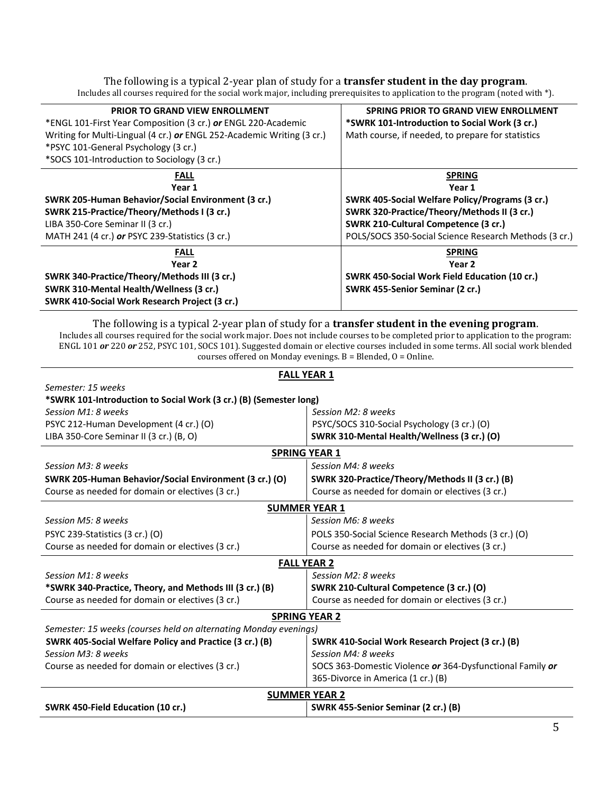The following is a typical 2-year plan of study for a **transfer student in the day program**. Includes all courses required for the social work major, including prerequisites to application to the program (noted with \*).

| <b>PRIOR TO GRAND VIEW ENROLLMENT</b>                                  | <b>SPRING PRIOR TO GRAND VIEW ENROLLMENT</b>          |
|------------------------------------------------------------------------|-------------------------------------------------------|
| *ENGL 101-First Year Composition (3 cr.) or ENGL 220-Academic          | *SWRK 101-Introduction to Social Work (3 cr.)         |
| Writing for Multi-Lingual (4 cr.) or ENGL 252-Academic Writing (3 cr.) | Math course, if needed, to prepare for statistics     |
| *PSYC 101-General Psychology (3 cr.)                                   |                                                       |
| *SOCS 101-Introduction to Sociology (3 cr.)                            |                                                       |
| <b>FALL</b>                                                            | <b>SPRING</b>                                         |
| Year 1                                                                 | Year 1                                                |
| SWRK 205-Human Behavior/Social Environment (3 cr.)                     | SWRK 405-Social Welfare Policy/Programs (3 cr.)       |
| SWRK 215-Practice/Theory/Methods I (3 cr.)                             | SWRK 320-Practice/Theory/Methods II (3 cr.)           |
| LIBA 350-Core Seminar II (3 cr.)                                       | SWRK 210-Cultural Competence (3 cr.)                  |
| MATH 241 (4 cr.) or PSYC 239-Statistics (3 cr.)                        | POLS/SOCS 350-Social Science Research Methods (3 cr.) |
| <b>FALL</b>                                                            | <b>SPRING</b>                                         |
| Year 2                                                                 | Year 2                                                |
| SWRK 340-Practice/Theory/Methods III (3 cr.)                           | <b>SWRK 450-Social Work Field Education (10 cr.)</b>  |
| SWRK 310-Mental Health/Wellness (3 cr.)                                | SWRK 455-Senior Seminar (2 cr.)                       |
| SWRK 410-Social Work Research Project (3 cr.)                          |                                                       |
|                                                                        |                                                       |

The following is a typical 2-year plan of study for a **transfer student in the evening program**. Includes all courses required for the social work major. Does not include courses to be completed prior to application to the program: ENGL 101 *or* 220 *or* 252, PSYC 101, SOCS 101). Suggested domain or elective courses included in some terms. All social work blended courses offered on Monday evenings.  $B = B$ lended,  $O = 0$ nline.

| <b>FALL YEAR 1</b>                                                |                                                           |  |  |
|-------------------------------------------------------------------|-----------------------------------------------------------|--|--|
| Semester: 15 weeks                                                |                                                           |  |  |
| *SWRK 101-Introduction to Social Work (3 cr.) (B) (Semester long) |                                                           |  |  |
| Session M1: 8 weeks                                               | Session M2: 8 weeks                                       |  |  |
| PSYC 212-Human Development (4 cr.) (O)                            | PSYC/SOCS 310-Social Psychology (3 cr.) (O)               |  |  |
| LIBA 350-Core Seminar II (3 cr.) (B, O)                           | SWRK 310-Mental Health/Wellness (3 cr.) (O)               |  |  |
| <b>SPRING YEAR 1</b>                                              |                                                           |  |  |
| Session M3: 8 weeks                                               | Session M4: 8 weeks                                       |  |  |
| SWRK 205-Human Behavior/Social Environment (3 cr.) (O)            | SWRK 320-Practice/Theory/Methods II (3 cr.) (B)           |  |  |
| Course as needed for domain or electives (3 cr.)                  | Course as needed for domain or electives (3 cr.)          |  |  |
| <b>SUMMER YEAR 1</b>                                              |                                                           |  |  |
| Session M5: 8 weeks                                               | Session M6: 8 weeks                                       |  |  |
| PSYC 239-Statistics (3 cr.) (O)                                   | POLS 350-Social Science Research Methods (3 cr.) (O)      |  |  |
| Course as needed for domain or electives (3 cr.)                  | Course as needed for domain or electives (3 cr.)          |  |  |
|                                                                   | <b>FALL YEAR 2</b>                                        |  |  |
| Session M1: 8 weeks                                               | Session M2: 8 weeks                                       |  |  |
| *SWRK 340-Practice, Theory, and Methods III (3 cr.) (B)           | SWRK 210-Cultural Competence (3 cr.) (O)                  |  |  |
| Course as needed for domain or electives (3 cr.)                  | Course as needed for domain or electives (3 cr.)          |  |  |
| <b>SPRING YEAR 2</b>                                              |                                                           |  |  |
| Semester: 15 weeks (courses held on alternating Monday evenings)  |                                                           |  |  |
| SWRK 405-Social Welfare Policy and Practice (3 cr.) (B)           | SWRK 410-Social Work Research Project (3 cr.) (B)         |  |  |
| Session M3: 8 weeks                                               | Session M4: 8 weeks                                       |  |  |
| Course as needed for domain or electives (3 cr.)                  | SOCS 363-Domestic Violence or 364-Dysfunctional Family or |  |  |
|                                                                   | 365-Divorce in America (1 cr.) (B)                        |  |  |
| <b>SUMMER YEAR 2</b>                                              |                                                           |  |  |
| SWRK 450-Field Education (10 cr.)                                 | SWRK 455-Senior Seminar (2 cr.) (B)                       |  |  |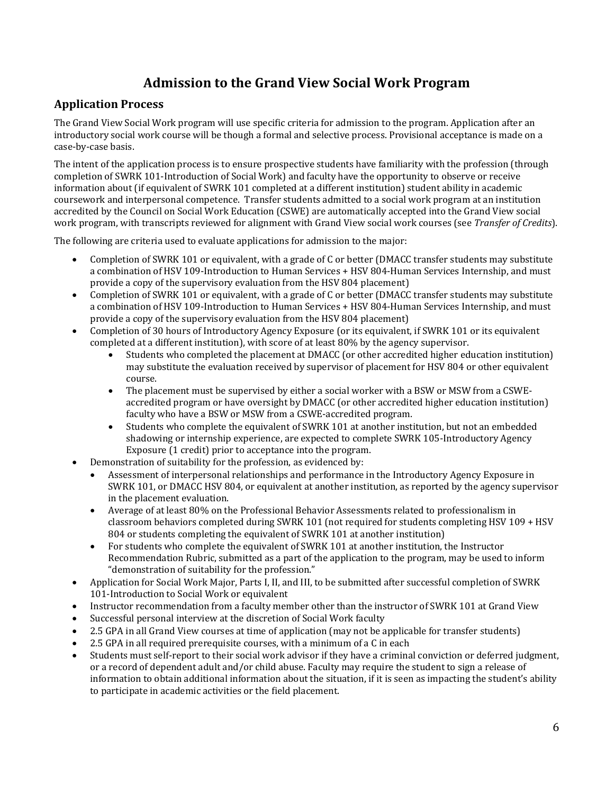## **Admission to the Grand View Social Work Program**

## **Application Process**

The Grand View Social Work program will use specific criteria for admission to the program. Application after an introductory social work course will be though a formal and selective process. Provisional acceptance is made on a case-by-case basis.

The intent of the application process is to ensure prospective students have familiarity with the profession (through completion of SWRK 101-Introduction of Social Work) and faculty have the opportunity to observe or receive information about (if equivalent of SWRK 101 completed at a different institution) student ability in academic coursework and interpersonal competence. Transfer students admitted to a social work program at an institution accredited by the Council on Social Work Education (CSWE) are automatically accepted into the Grand View social work program, with transcripts reviewed for alignment with Grand View social work courses (see *Transfer of Credits*).

The following are criteria used to evaluate applications for admission to the major:

- Completion of SWRK 101 or equivalent, with a grade of C or better (DMACC transfer students may substitute a combination of HSV 109-Introduction to Human Services + HSV 804-Human Services Internship, and must provide a copy of the supervisory evaluation from the HSV 804 placement)
- Completion of SWRK 101 or equivalent, with a grade of C or better (DMACC transfer students may substitute a combination of HSV 109-Introduction to Human Services + HSV 804-Human Services Internship, and must provide a copy of the supervisory evaluation from the HSV 804 placement)
- Completion of 30 hours of Introductory Agency Exposure (or its equivalent, if SWRK 101 or its equivalent completed at a different institution), with score of at least 80% by the agency supervisor.
	- Students who completed the placement at DMACC (or other accredited higher education institution) may substitute the evaluation received by supervisor of placement for HSV 804 or other equivalent course.
	- The placement must be supervised by either a social worker with a BSW or MSW from a CSWEaccredited program or have oversight by DMACC (or other accredited higher education institution) faculty who have a BSW or MSW from a CSWE-accredited program.
	- Students who complete the equivalent of SWRK 101 at another institution, but not an embedded shadowing or internship experience, are expected to complete SWRK 105-Introductory Agency Exposure (1 credit) prior to acceptance into the program.
- Demonstration of suitability for the profession, as evidenced by:
	- Assessment of interpersonal relationships and performance in the Introductory Agency Exposure in SWRK 101, or DMACC HSV 804, or equivalent at another institution, as reported by the agency supervisor in the placement evaluation.
	- Average of at least 80% on the Professional Behavior Assessments related to professionalism in classroom behaviors completed during SWRK 101 (not required for students completing HSV 109 + HSV 804 or students completing the equivalent of SWRK 101 at another institution)
	- For students who complete the equivalent of SWRK 101 at another institution, the Instructor Recommendation Rubric, submitted as a part of the application to the program, may be used to inform "demonstration of suitability for the profession."
- Application for Social Work Major, Parts I, II, and III, to be submitted after successful completion of SWRK 101-Introduction to Social Work or equivalent
- Instructor recommendation from a faculty member other than the instructor of SWRK 101 at Grand View
- Successful personal interview at the discretion of Social Work faculty
- 2.5 GPA in all Grand View courses at time of application (may not be applicable for transfer students)
- 2.5 GPA in all required prerequisite courses, with a minimum of a C in each
- Students must self-report to their social work advisor if they have a criminal conviction or deferred judgment, or a record of dependent adult and/or child abuse. Faculty may require the student to sign a release of information to obtain additional information about the situation, if it is seen as impacting the student's ability to participate in academic activities or the field placement.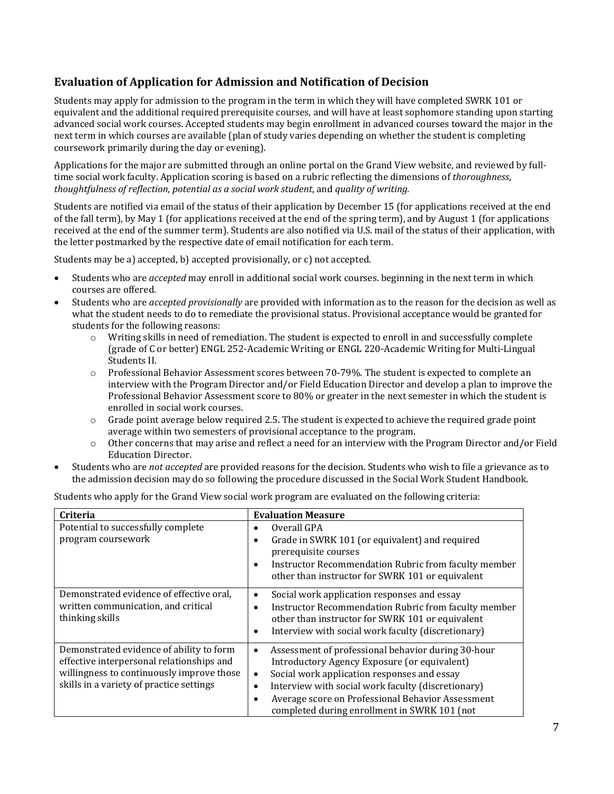## **Evaluation of Application for Admission and Notification of Decision**

Students may apply for admission to the program in the term in which they will have completed SWRK 101 or equivalent and the additional required prerequisite courses, and will have at least sophomore standing upon starting advanced social work courses. Accepted students may begin enrollment in advanced courses toward the major in the next term in which courses are available (plan of study varies depending on whether the student is completing coursework primarily during the day or evening).

Applications for the major are submitted through an online portal on the Grand View website, and reviewed by fulltime social work faculty. Application scoring is based on a rubric reflecting the dimensions of *thoroughness*, *thoughtfulness of reflection*, *potential as a social work student*, and *quality of writing.*

Students are notified via email of the status of their application by December 15 (for applications received at the end of the fall term), by May 1 (for applications received at the end of the spring term), and by August 1 (for applications received at the end of the summer term). Students are also notified via U.S. mail of the status of their application, with the letter postmarked by the respective date of email notification for each term.

Students may be a) accepted, b) accepted provisionally, or c) not accepted.

- Students who are *accepted* may enroll in additional social work courses. beginning in the next term in which courses are offered.
- Students who are *accepted provisionally* are provided with information as to the reason for the decision as well as what the student needs to do to remediate the provisional status. Provisional acceptance would be granted for students for the following reasons:
	- $\circ$  Writing skills in need of remediation. The student is expected to enroll in and successfully complete (grade of C or better) ENGL 252-Academic Writing or ENGL 220-Academic Writing for Multi-Lingual Students II.
	- o Professional Behavior Assessment scores between 70-79%. The student is expected to complete an interview with the Program Director and/or Field Education Director and develop a plan to improve the Professional Behavior Assessment score to 80% or greater in the next semester in which the student is enrolled in social work courses.
	- $\circ$  Grade point average below required 2.5. The student is expected to achieve the required grade point average within two semesters of provisional acceptance to the program.
	- o Other concerns that may arise and reflect a need for an interview with the Program Director and/or Field Education Director.
- Students who are *not accepted* are provided reasons for the decision. Students who wish to file a grievance as to the admission decision may do so following the procedure discussed in the Social Work Student Handbook.

| Criteria                                                                                                                                                                       | <b>Evaluation Measure</b>                                                                                                                                                                                                                                                                                                                                |
|--------------------------------------------------------------------------------------------------------------------------------------------------------------------------------|----------------------------------------------------------------------------------------------------------------------------------------------------------------------------------------------------------------------------------------------------------------------------------------------------------------------------------------------------------|
| Potential to successfully complete<br>program coursework                                                                                                                       | Overall GPA<br>Grade in SWRK 101 (or equivalent) and required<br>$\bullet$<br>prerequisite courses<br>Instructor Recommendation Rubric from faculty member<br>$\bullet$<br>other than instructor for SWRK 101 or equivalent                                                                                                                              |
| Demonstrated evidence of effective oral,<br>written communication, and critical<br>thinking skills                                                                             | Social work application responses and essay<br>$\bullet$<br>Instructor Recommendation Rubric from faculty member<br>٠<br>other than instructor for SWRK 101 or equivalent<br>Interview with social work faculty (discretionary)<br>$\bullet$                                                                                                             |
| Demonstrated evidence of ability to form<br>effective interpersonal relationships and<br>willingness to continuously improve those<br>skills in a variety of practice settings | Assessment of professional behavior during 30-hour<br>$\bullet$<br>Introductory Agency Exposure (or equivalent)<br>Social work application responses and essay<br>$\bullet$<br>Interview with social work faculty (discretionary)<br>٠<br>Average score on Professional Behavior Assessment<br>$\bullet$<br>completed during enrollment in SWRK 101 (not |

Students who apply for the Grand View social work program are evaluated on the following criteria: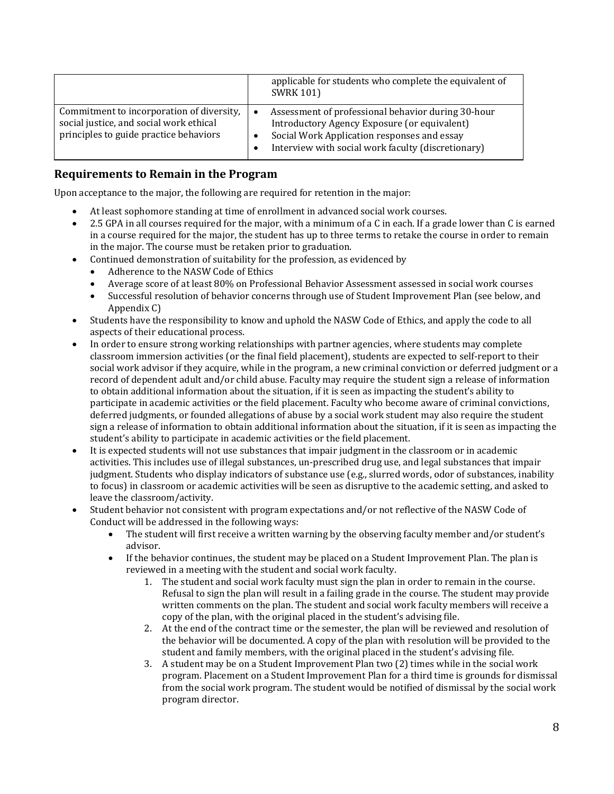|                                                                                                                                |           | applicable for students who complete the equivalent of<br><b>SWRK 101)</b>                                                                                                                              |
|--------------------------------------------------------------------------------------------------------------------------------|-----------|---------------------------------------------------------------------------------------------------------------------------------------------------------------------------------------------------------|
| Commitment to incorporation of diversity,<br>social justice, and social work ethical<br>principles to guide practice behaviors | $\bullet$ | Assessment of professional behavior during 30-hour<br>Introductory Agency Exposure (or equivalent)<br>Social Work Application responses and essay<br>Interview with social work faculty (discretionary) |

## **Requirements to Remain in the Program**

Upon acceptance to the major, the following are required for retention in the major:

- At least sophomore standing at time of enrollment in advanced social work courses.
- 2.5 GPA in all courses required for the major, with a minimum of a C in each. If a grade lower than C is earned in a course required for the major, the student has up to three terms to retake the course in order to remain in the major. The course must be retaken prior to graduation.
	- Continued demonstration of suitability for the profession, as evidenced by
		- Adherence to the NASW Code of Ethics
		- Average score of at least 80% on Professional Behavior Assessment assessed in social work courses
		- Successful resolution of behavior concerns through use of Student Improvement Plan (see below, and Appendix C)
- Students have the responsibility to know and uphold the NASW Code of Ethics, and apply the code to all aspects of their educational process.
- In order to ensure strong working relationships with partner agencies, where students may complete classroom immersion activities (or the final field placement), students are expected to self-report to their social work advisor if they acquire, while in the program, a new criminal conviction or deferred judgment or a record of dependent adult and/or child abuse. Faculty may require the student sign a release of information to obtain additional information about the situation, if it is seen as impacting the student's ability to participate in academic activities or the field placement. Faculty who become aware of criminal convictions, deferred judgments, or founded allegations of abuse by a social work student may also require the student sign a release of information to obtain additional information about the situation, if it is seen as impacting the student's ability to participate in academic activities or the field placement.
- It is expected students will not use substances that impair judgment in the classroom or in academic activities. This includes use of illegal substances, un-prescribed drug use, and legal substances that impair judgment. Students who display indicators of substance use (e.g., slurred words, odor of substances, inability to focus) in classroom or academic activities will be seen as disruptive to the academic setting, and asked to leave the classroom/activity.
- Student behavior not consistent with program expectations and/or not reflective of the NASW Code of Conduct will be addressed in the following ways:
	- The student will first receive a written warning by the observing faculty member and/or student's advisor.
	- If the behavior continues, the student may be placed on a Student Improvement Plan. The plan is reviewed in a meeting with the student and social work faculty.
		- 1. The student and social work faculty must sign the plan in order to remain in the course. Refusal to sign the plan will result in a failing grade in the course. The student may provide written comments on the plan. The student and social work faculty members will receive a copy of the plan, with the original placed in the student's advising file.
		- 2. At the end of the contract time or the semester, the plan will be reviewed and resolution of the behavior will be documented. A copy of the plan with resolution will be provided to the student and family members, with the original placed in the student's advising file.
		- 3. A student may be on a Student Improvement Plan two (2) times while in the social work program. Placement on a Student Improvement Plan for a third time is grounds for dismissal from the social work program. The student would be notified of dismissal by the social work program director.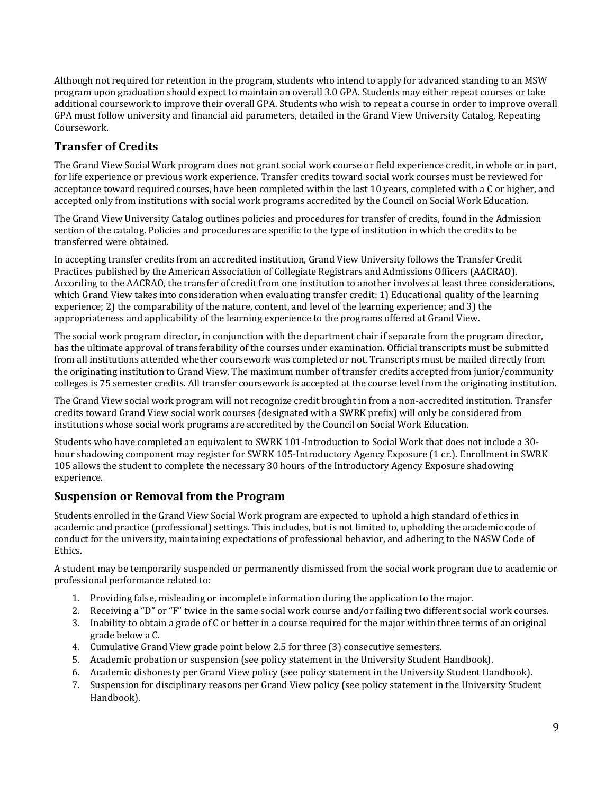Although not required for retention in the program, students who intend to apply for advanced standing to an MSW program upon graduation should expect to maintain an overall 3.0 GPA. Students may either repeat courses or take additional coursework to improve their overall GPA. Students who wish to repeat a course in order to improve overall GPA must follow university and financial aid parameters, detailed in the Grand View University Catalog, Repeating Coursework.

## **Transfer of Credits**

The Grand View Social Work program does not grant social work course or field experience credit, in whole or in part, for life experience or previous work experience. Transfer credits toward social work courses must be reviewed for acceptance toward required courses, have been completed within the last 10 years, completed with a C or higher, and accepted only from institutions with social work programs accredited by the Council on Social Work Education.

The Grand View University Catalog outlines policies and procedures for transfer of credits, found in the Admission section of the catalog. Policies and procedures are specific to the type of institution in which the credits to be transferred were obtained.

In accepting transfer credits from an accredited institution, Grand View University follows the Transfer Credit Practices published by the American Association of Collegiate Registrars and Admissions Officers (AACRAO). According to the AACRAO, the transfer of credit from one institution to another involves at least three considerations, which Grand View takes into consideration when evaluating transfer credit: 1) Educational quality of the learning experience; 2) the comparability of the nature, content, and level of the learning experience; and 3) the appropriateness and applicability of the learning experience to the programs offered at Grand View.

The social work program director, in conjunction with the department chair if separate from the program director, has the ultimate approval of transferability of the courses under examination. Official transcripts must be submitted from all institutions attended whether coursework was completed or not. Transcripts must be mailed directly from the originating institution to Grand View. The maximum number of transfer credits accepted from junior/community colleges is 75 semester credits. All transfer coursework is accepted at the course level from the originating institution.

The Grand View social work program will not recognize credit brought in from a non-accredited institution. Transfer credits toward Grand View social work courses (designated with a SWRK prefix) will only be considered from institutions whose social work programs are accredited by the Council on Social Work Education.

Students who have completed an equivalent to SWRK 101-Introduction to Social Work that does not include a 30 hour shadowing component may register for SWRK 105-Introductory Agency Exposure (1 cr.). Enrollment in SWRK 105 allows the student to complete the necessary 30 hours of the Introductory Agency Exposure shadowing experience.

## **Suspension or Removal from the Program**

Students enrolled in the Grand View Social Work program are expected to uphold a high standard of ethics in academic and practice (professional) settings. This includes, but is not limited to, upholding the academic code of conduct for the university, maintaining expectations of professional behavior, and adhering to the NASW Code of Ethics.

A student may be temporarily suspended or permanently dismissed from the social work program due to academic or professional performance related to:

- 1. Providing false, misleading or incomplete information during the application to the major.
- 2. Receiving a "D" or "F" twice in the same social work course and/or failing two different social work courses.
- 3. Inability to obtain a grade of C or better in a course required for the major within three terms of an original grade below a C.
- 4. Cumulative Grand View grade point below 2.5 for three (3) consecutive semesters.
- 5. Academic probation or suspension (see policy statement in the University Student Handbook).
- 6. Academic dishonesty per Grand View policy (see policy statement in the University Student Handbook).
- 7. Suspension for disciplinary reasons per Grand View policy (see policy statement in the University Student Handbook).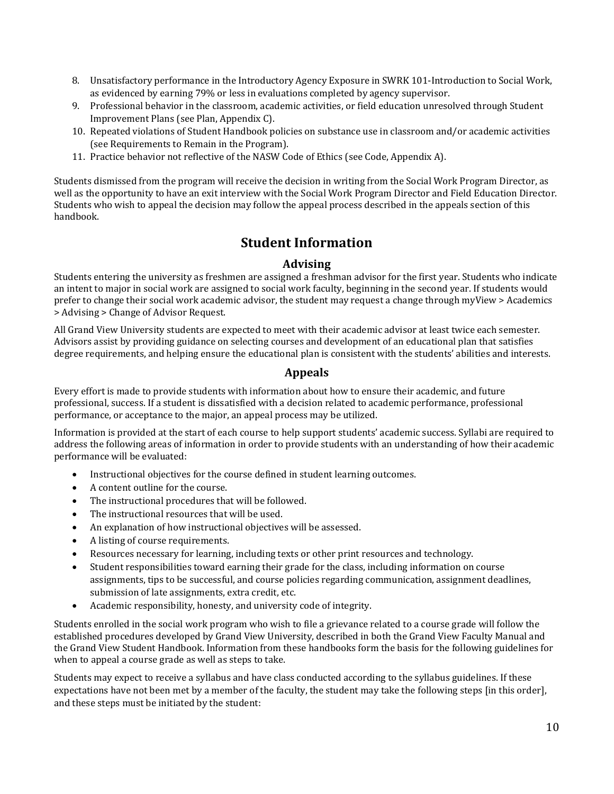- 8. Unsatisfactory performance in the Introductory Agency Exposure in SWRK 101-Introduction to Social Work, as evidenced by earning 79% or less in evaluations completed by agency supervisor.
- 9. Professional behavior in the classroom, academic activities, or field education unresolved through Student Improvement Plans (see Plan, Appendix C).
- 10. Repeated violations of Student Handbook policies on substance use in classroom and/or academic activities (see Requirements to Remain in the Program).
- 11. Practice behavior not reflective of the NASW Code of Ethics (see Code, Appendix A).

Students dismissed from the program will receive the decision in writing from the Social Work Program Director, as well as the opportunity to have an exit interview with the Social Work Program Director and Field Education Director. Students who wish to appeal the decision may follow the appeal process described in the appeals section of this handbook.

## **Student Information**

#### **Advising**

Students entering the university as freshmen are assigned a freshman advisor for the first year. Students who indicate an intent to major in social work are assigned to social work faculty, beginning in the second year. If students would prefer to change their social work academic advisor, the student may request a change through myView > Academics > Advising > Change of Advisor Request.

All Grand View University students are expected to meet with their academic advisor at least twice each semester. Advisors assist by providing guidance on selecting courses and development of an educational plan that satisfies degree requirements, and helping ensure the educational plan is consistent with the students' abilities and interests.

#### **Appeals**

Every effort is made to provide students with information about how to ensure their academic, and future professional, success. If a student is dissatisfied with a decision related to academic performance, professional performance, or acceptance to the major, an appeal process may be utilized.

Information is provided at the start of each course to help support students' academic success. Syllabi are required to address the following areas of information in order to provide students with an understanding of how their academic performance will be evaluated:

- Instructional objectives for the course defined in student learning outcomes.
- A content outline for the course.
- The instructional procedures that will be followed.
- The instructional resources that will be used.
- An explanation of how instructional objectives will be assessed.
- A listing of course requirements.
- Resources necessary for learning, including texts or other print resources and technology.
- Student responsibilities toward earning their grade for the class, including information on course assignments, tips to be successful, and course policies regarding communication, assignment deadlines, submission of late assignments, extra credit, etc.
- Academic responsibility, honesty, and university code of integrity.

Students enrolled in the social work program who wish to file a grievance related to a course grade will follow the established procedures developed by Grand View University, described in both the Grand View Faculty Manual and the Grand View Student Handbook. Information from these handbooks form the basis for the following guidelines for when to appeal a course grade as well as steps to take.

Students may expect to receive a syllabus and have class conducted according to the syllabus guidelines. If these expectations have not been met by a member of the faculty, the student may take the following steps [in this order], and these steps must be initiated by the student: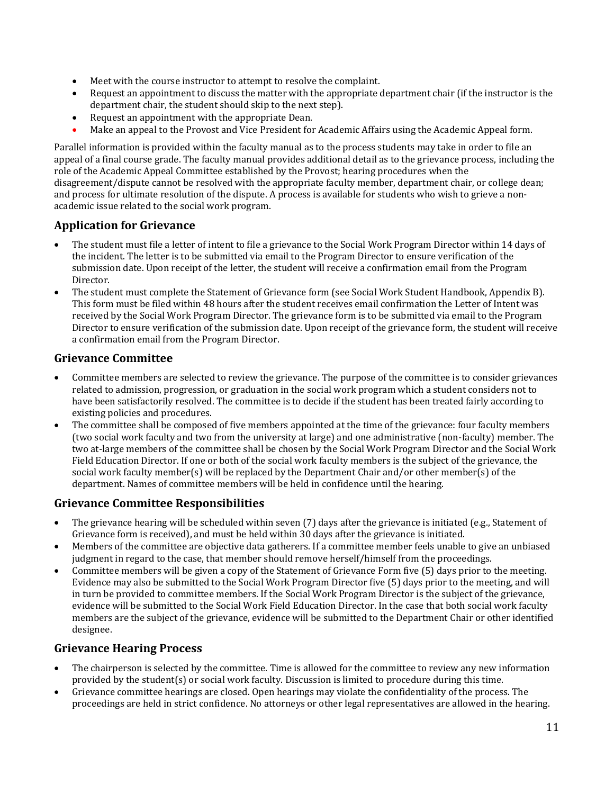- Meet with the course instructor to attempt to resolve the complaint.
- Request an appointment to discuss the matter with the appropriate department chair (if the instructor is the department chair, the student should skip to the next step).
- Request an appointment with the appropriate Dean.
- Make an appeal to the Provost and Vice President for Academic Affairs using the Academic Appeal form.

Parallel information is provided within the faculty manual as to the process students may take in order to file an appeal of a final course grade. The faculty manual provides additional detail as to the grievance process, including the role of the Academic Appeal Committee established by the Provost; hearing procedures when the disagreement/dispute cannot be resolved with the appropriate faculty member, department chair, or college dean; and process for ultimate resolution of the dispute. A process is available for students who wish to grieve a nonacademic issue related to the social work program.

## **Application for Grievance**

- The student must file a letter of intent to file a grievance to the Social Work Program Director within 14 days of the incident. The letter is to be submitted via email to the Program Director to ensure verification of the submission date. Upon receipt of the letter, the student will receive a confirmation email from the Program Director.
- The student must complete the Statement of Grievance form (see Social Work Student Handbook, Appendix B). This form must be filed within 48 hours after the student receives email confirmation the Letter of Intent was received by the Social Work Program Director. The grievance form is to be submitted via email to the Program Director to ensure verification of the submission date. Upon receipt of the grievance form, the student will receive a confirmation email from the Program Director.

## **Grievance Committee**

- Committee members are selected to review the grievance. The purpose of the committee is to consider grievances related to admission, progression, or graduation in the social work program which a student considers not to have been satisfactorily resolved. The committee is to decide if the student has been treated fairly according to existing policies and procedures.
- The committee shall be composed of five members appointed at the time of the grievance: four faculty members (two social work faculty and two from the university at large) and one administrative (non-faculty) member. The two at-large members of the committee shall be chosen by the Social Work Program Director and the Social Work Field Education Director. If one or both of the social work faculty members is the subject of the grievance, the social work faculty member(s) will be replaced by the Department Chair and/or other member(s) of the department. Names of committee members will be held in confidence until the hearing.

## **Grievance Committee Responsibilities**

- The grievance hearing will be scheduled within seven (7) days after the grievance is initiated (e.g., Statement of Grievance form is received), and must be held within 30 days after the grievance is initiated.
- Members of the committee are objective data gatherers. If a committee member feels unable to give an unbiased judgment in regard to the case, that member should remove herself/himself from the proceedings.
- Committee members will be given a copy of the Statement of Grievance Form five (5) days prior to the meeting. Evidence may also be submitted to the Social Work Program Director five (5) days prior to the meeting, and will in turn be provided to committee members. If the Social Work Program Director is the subject of the grievance, evidence will be submitted to the Social Work Field Education Director. In the case that both social work faculty members are the subject of the grievance, evidence will be submitted to the Department Chair or other identified designee.

## **Grievance Hearing Process**

- The chairperson is selected by the committee. Time is allowed for the committee to review any new information provided by the student(s) or social work faculty. Discussion is limited to procedure during this time.
- Grievance committee hearings are closed. Open hearings may violate the confidentiality of the process. The proceedings are held in strict confidence. No attorneys or other legal representatives are allowed in the hearing.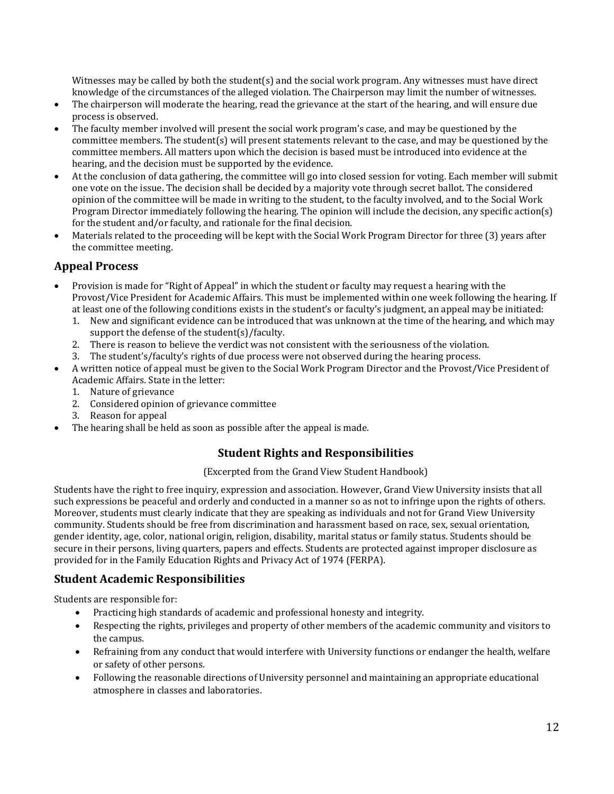Witnesses may be called by both the student(s) and the social work program. Any witnesses must have direct knowledge of the circumstances of the alleged violation. The Chairperson may limit the number of witnesses.

- The chairperson will moderate the hearing, read the grievance at the start of the hearing, and will ensure due process is observed.
- The faculty member involved will present the social work program's case, and may be questioned by the committee members. The student(s) will present statements relevant to the case, and may be questioned by the committee members. All matters upon which the decision is based must be introduced into evidence at the hearing, and the decision must be supported by the evidence.
- At the conclusion of data gathering, the committee will go into closed session for voting. Each member will submit one vote on the issue. The decision shall be decided by a majority vote through secret ballot. The considered opinion of the committee will be made in writing to the student, to the faculty involved, and to the Social Work Program Director immediately following the hearing. The opinion will include the decision, any specific action(s) for the student and/or faculty, and rationale for the final decision.
- Materials related to the proceeding will be kept with the Social Work Program Director for three (3) years after the committee meeting.

### **Appeal Process**

- Provision is made for "Right of Appeal" in which the student or faculty may request a hearing with the Provost/Vice President for Academic Affairs. This must be implemented within one week following the hearing. If at least one of the following conditions exists in the student's or faculty's judgment, an appeal may be initiated:
	- 1. New and significant evidence can be introduced that was unknown at the time of the hearing, and which may support the defense of the student(s)/faculty.
	- 2. There is reason to believe the verdict was not consistent with the seriousness of the violation.
	- 3. The student's/faculty's rights of due process were not observed during the hearing process.
- A written notice of appeal must be given to the Social Work Program Director and the Provost/Vice President of Academic Affairs. State in the letter:
	- 1. Nature of grievance
	- 2. Considered opinion of grievance committee
	- 3. Reason for appeal
- The hearing shall be held as soon as possible after the appeal is made.

### **Student Rights and Responsibilities**

#### (Excerpted from the Grand View Student Handbook)

Students have the right to free inquiry, expression and association. However, Grand View University insists that all such expressions be peaceful and orderly and conducted in a manner so as not to infringe upon the rights of others. Moreover, students must clearly indicate that they are speaking as individuals and not for Grand View University community. Students should be free from discrimination and harassment based on race, sex, sexual orientation, gender identity, age, color, national origin, religion, disability, marital status or family status. Students should be secure in their persons, living quarters, papers and effects. Students are protected against improper disclosure as provided for in the Family Education Rights and Privacy Act of 1974 (FERPA).

### **Student Academic Responsibilities**

Students are responsible for:

- Practicing high standards of academic and professional honesty and integrity.
- Respecting the rights, privileges and property of other members of the academic community and visitors to the campus.
- Refraining from any conduct that would interfere with University functions or endanger the health, welfare or safety of other persons.
- Following the reasonable directions of University personnel and maintaining an appropriate educational atmosphere in classes and laboratories.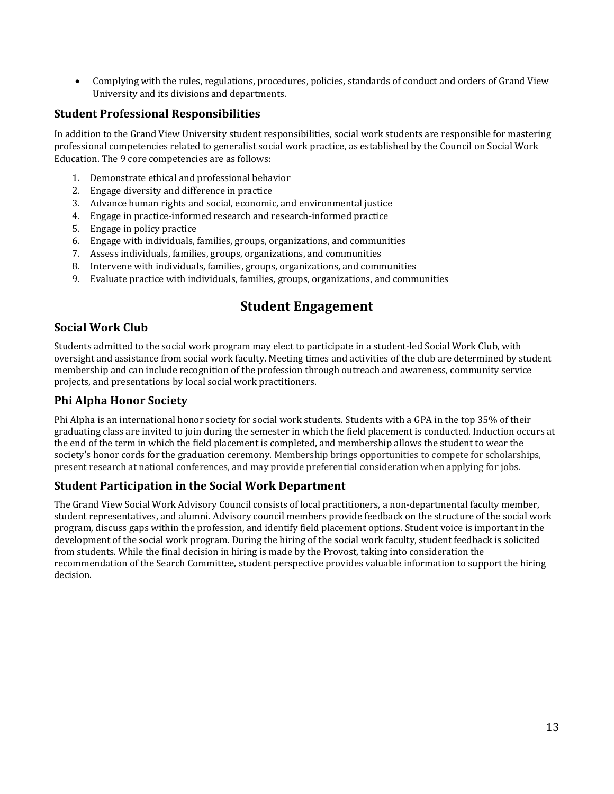• Complying with the rules, regulations, procedures, policies, standards of conduct and orders of Grand View University and its divisions and departments.

### **Student Professional Responsibilities**

In addition to the Grand View University student responsibilities, social work students are responsible for mastering professional competencies related to generalist social work practice, as established by the Council on Social Work Education. The 9 core competencies are as follows:

- 1. Demonstrate ethical and professional behavior
- 2. Engage diversity and difference in practice
- 3. Advance human rights and social, economic, and environmental justice
- 4. Engage in practice-informed research and research-informed practice
- 5. Engage in policy practice
- 6. Engage with individuals, families, groups, organizations, and communities
- 7. Assess individuals, families, groups, organizations, and communities
- 8. Intervene with individuals, families, groups, organizations, and communities
- 9. Evaluate practice with individuals, families, groups, organizations, and communities

## **Student Engagement**

### **Social Work Club**

Students admitted to the social work program may elect to participate in a student-led Social Work Club, with oversight and assistance from social work faculty. Meeting times and activities of the club are determined by student membership and can include recognition of the profession through outreach and awareness, community service projects, and presentations by local social work practitioners.

### **Phi Alpha Honor Society**

Phi Alpha is an international honor society for social work students. Students with a GPA in the top 35% of their graduating class are invited to join during the semester in which the field placement is conducted. Induction occurs at the end of the term in which the field placement is completed, and membership allows the student to wear the society's honor cords for the graduation ceremony. Membership brings opportunities to compete for scholarships, present research at national conferences, and may provide preferential consideration when applying for jobs.

## **Student Participation in the Social Work Department**

The Grand View Social Work Advisory Council consists of local practitioners, a non-departmental faculty member, student representatives, and alumni. Advisory council members provide feedback on the structure of the social work program, discuss gaps within the profession, and identify field placement options. Student voice is important in the development of the social work program. During the hiring of the social work faculty, student feedback is solicited from students. While the final decision in hiring is made by the Provost, taking into consideration the recommendation of the Search Committee, student perspective provides valuable information to support the hiring decision.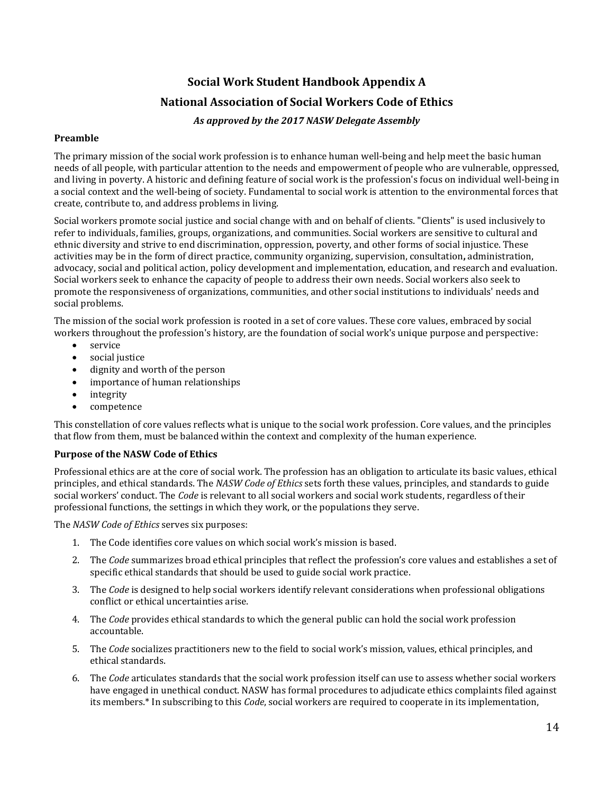# **Social Work Student Handbook Appendix A National Association of Social Workers Code of Ethics**

#### *As approved by the 2017 NASW Delegate Assembly*

#### **Preamble**

The primary mission of the social work profession is to enhance human well-being and help meet the basic human needs of all people, with particular attention to the needs and empowerment of people who are vulnerable, oppressed, and living in poverty. A historic and defining feature of social work is the profession's focus on individual well-being in a social context and the well-being of society. Fundamental to social work is attention to the environmental forces that create, contribute to, and address problems in living.

Social workers promote social justice and social change with and on behalf of clients. "Clients" is used inclusively to refer to individuals, families, groups, organizations, and communities. Social workers are sensitive to cultural and ethnic diversity and strive to end discrimination, oppression, poverty, and other forms of social injustice. These activities may be in the form of direct practice, community organizing, supervision, consultation**,** administration, advocacy, social and political action, policy development and implementation, education, and research and evaluation. Social workers seek to enhance the capacity of people to address their own needs. Social workers also seek to promote the responsiveness of organizations, communities, and other social institutions to individuals' needs and social problems.

The mission of the social work profession is rooted in a set of core values. These core values, embraced by social workers throughout the profession's history, are the foundation of social work's unique purpose and perspective:

- service
- social justice
- dignity and worth of the person
- importance of human relationships
- *integrity*
- competence

This constellation of core values reflects what is unique to the social work profession. Core values, and the principles that flow from them, must be balanced within the context and complexity of the human experience.

#### **Purpose of the NASW Code of Ethics**

Professional ethics are at the core of social work. The profession has an obligation to articulate its basic values, ethical principles, and ethical standards. The *NASW Code of Ethics* sets forth these values, principles, and standards to guide social workers' conduct. The *Code* is relevant to all social workers and social work students, regardless of their professional functions, the settings in which they work, or the populations they serve.

The *NASW Code of Ethics* serves six purposes:

- 1. The Code identifies core values on which social work's mission is based.
- 2. The *Code* summarizes broad ethical principles that reflect the profession's core values and establishes a set of specific ethical standards that should be used to guide social work practice.
- 3. The *Code* is designed to help social workers identify relevant considerations when professional obligations conflict or ethical uncertainties arise.
- 4. The *Code* provides ethical standards to which the general public can hold the social work profession accountable.
- 5. The *Code* socializes practitioners new to the field to social work's mission, values, ethical principles, and ethical standards.
- 6. The *Code* articulates standards that the social work profession itself can use to assess whether social workers have engaged in unethical conduct. NASW has formal procedures to adjudicate ethics complaints filed against its members.\* In subscribing to this *Code*, social workers are required to cooperate in its implementation,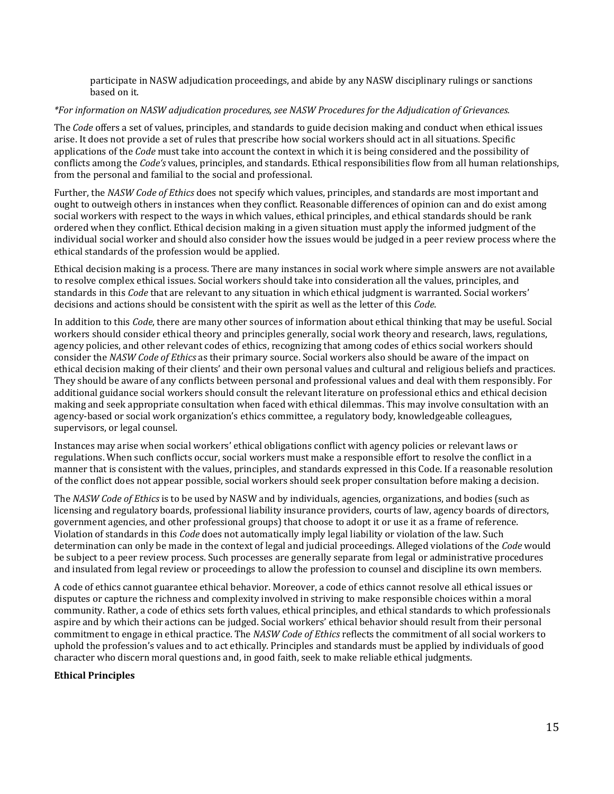participate in NASW adjudication proceedings, and abide by any NASW disciplinary rulings or sanctions based on it.

#### *\*For information on NASW adjudication procedures, see NASW Procedures for the Adjudication of Grievances.*

The *Code* offers a set of values, principles, and standards to guide decision making and conduct when ethical issues arise. It does not provide a set of rules that prescribe how social workers should act in all situations. Specific applications of the *Code* must take into account the context in which it is being considered and the possibility of conflicts among the *Code's* values, principles, and standards. Ethical responsibilities flow from all human relationships, from the personal and familial to the social and professional.

Further, the *NASW Code of Ethics* does not specify which values, principles, and standards are most important and ought to outweigh others in instances when they conflict. Reasonable differences of opinion can and do exist among social workers with respect to the ways in which values, ethical principles, and ethical standards should be rank ordered when they conflict. Ethical decision making in a given situation must apply the informed judgment of the individual social worker and should also consider how the issues would be judged in a peer review process where the ethical standards of the profession would be applied.

Ethical decision making is a process. There are many instances in social work where simple answers are not available to resolve complex ethical issues. Social workers should take into consideration all the values, principles, and standards in this *Code* that are relevant to any situation in which ethical judgment is warranted. Social workers' decisions and actions should be consistent with the spirit as well as the letter of this *Code*.

In addition to this *Code*, there are many other sources of information about ethical thinking that may be useful. Social workers should consider ethical theory and principles generally, social work theory and research, laws, regulations, agency policies, and other relevant codes of ethics, recognizing that among codes of ethics social workers should consider the *NASW Code of Ethics* as their primary source. Social workers also should be aware of the impact on ethical decision making of their clients' and their own personal values and cultural and religious beliefs and practices. They should be aware of any conflicts between personal and professional values and deal with them responsibly. For additional guidance social workers should consult the relevant literature on professional ethics and ethical decision making and seek appropriate consultation when faced with ethical dilemmas. This may involve consultation with an agency-based or social work organization's ethics committee, a regulatory body, knowledgeable colleagues, supervisors, or legal counsel.

Instances may arise when social workers' ethical obligations conflict with agency policies or relevant laws or regulations. When such conflicts occur, social workers must make a responsible effort to resolve the conflict in a manner that is consistent with the values, principles, and standards expressed in this Code. If a reasonable resolution of the conflict does not appear possible, social workers should seek proper consultation before making a decision.

The *NASW Code of Ethics* is to be used by NASW and by individuals, agencies, organizations, and bodies (such as licensing and regulatory boards, professional liability insurance providers, courts of law, agency boards of directors, government agencies, and other professional groups) that choose to adopt it or use it as a frame of reference. Violation of standards in this *Code* does not automatically imply legal liability or violation of the law. Such determination can only be made in the context of legal and judicial proceedings. Alleged violations of the *Code* would be subject to a peer review process. Such processes are generally separate from legal or administrative procedures and insulated from legal review or proceedings to allow the profession to counsel and discipline its own members.

A code of ethics cannot guarantee ethical behavior. Moreover, a code of ethics cannot resolve all ethical issues or disputes or capture the richness and complexity involved in striving to make responsible choices within a moral community. Rather, a code of ethics sets forth values, ethical principles, and ethical standards to which professionals aspire and by which their actions can be judged. Social workers' ethical behavior should result from their personal commitment to engage in ethical practice. The *NASW Code of Ethics* reflects the commitment of all social workers to uphold the profession's values and to act ethically. Principles and standards must be applied by individuals of good character who discern moral questions and, in good faith, seek to make reliable ethical judgments.

#### **Ethical Principles**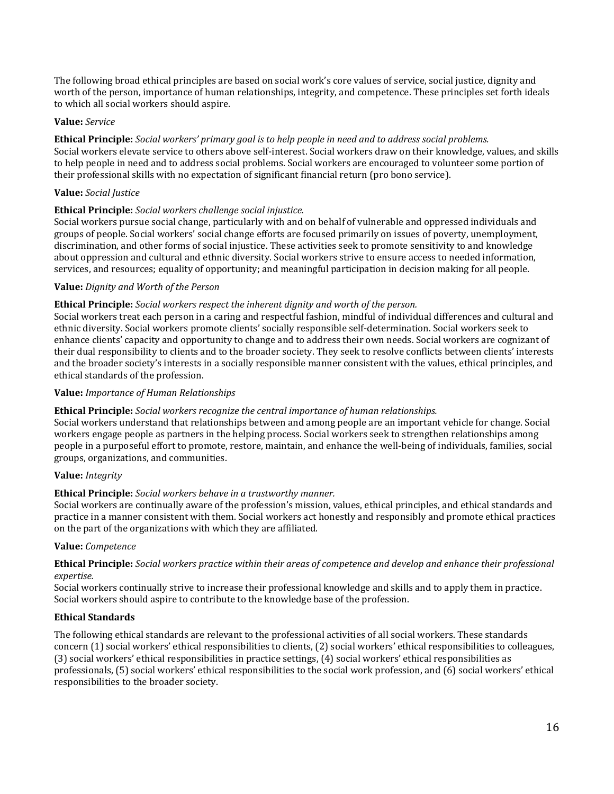The following broad ethical principles are based on social work's core values of service, social justice, dignity and worth of the person, importance of human relationships, integrity, and competence. These principles set forth ideals to which all social workers should aspire.

#### **Value:** *Service*

**Ethical Principle:** *Social workers' primary goal is to help people in need and to address social problems.*  Social workers elevate service to others above self-interest. Social workers draw on their knowledge, values, and skills to help people in need and to address social problems. Social workers are encouraged to volunteer some portion of their professional skills with no expectation of significant financial return (pro bono service).

#### **Value:** *Social Justice*

#### **Ethical Principle:** *Social workers challenge social injustice.*

Social workers pursue social change, particularly with and on behalf of vulnerable and oppressed individuals and groups of people. Social workers' social change efforts are focused primarily on issues of poverty, unemployment, discrimination, and other forms of social injustice. These activities seek to promote sensitivity to and knowledge about oppression and cultural and ethnic diversity. Social workers strive to ensure access to needed information, services, and resources; equality of opportunity; and meaningful participation in decision making for all people.

#### **Value:** *Dignity and Worth of the Person*

#### **Ethical Principle:** *Social workers respect the inherent dignity and worth of the person.*

Social workers treat each person in a caring and respectful fashion, mindful of individual differences and cultural and ethnic diversity. Social workers promote clients' socially responsible self-determination. Social workers seek to enhance clients' capacity and opportunity to change and to address their own needs. Social workers are cognizant of their dual responsibility to clients and to the broader society. They seek to resolve conflicts between clients' interests and the broader society's interests in a socially responsible manner consistent with the values, ethical principles, and ethical standards of the profession.

#### **Value:** *Importance of Human Relationships*

#### **Ethical Principle:** *Social workers recognize the central importance of human relationships.*

Social workers understand that relationships between and among people are an important vehicle for change. Social workers engage people as partners in the helping process. Social workers seek to strengthen relationships among people in a purposeful effort to promote, restore, maintain, and enhance the well-being of individuals, families, social groups, organizations, and communities.

#### **Value:** *Integrity*

#### **Ethical Principle:** *Social workers behave in a trustworthy manner.*

Social workers are continually aware of the profession's mission, values, ethical principles, and ethical standards and practice in a manner consistent with them. Social workers act honestly and responsibly and promote ethical practices on the part of the organizations with which they are affiliated.

#### **Value:** *Competence*

#### **Ethical Principle:** *Social workers practice within their areas of competence and develop and enhance their professional expertise.*

Social workers continually strive to increase their professional knowledge and skills and to apply them in practice. Social workers should aspire to contribute to the knowledge base of the profession.

#### **Ethical Standards**

The following ethical standards are relevant to the professional activities of all social workers. These standards concern (1) social workers' ethical responsibilities to clients, (2) social workers' ethical responsibilities to colleagues, (3) social workers' ethical responsibilities in practice settings, (4) social workers' ethical responsibilities as professionals, (5) social workers' ethical responsibilities to the social work profession, and (6) social workers' ethical responsibilities to the broader society.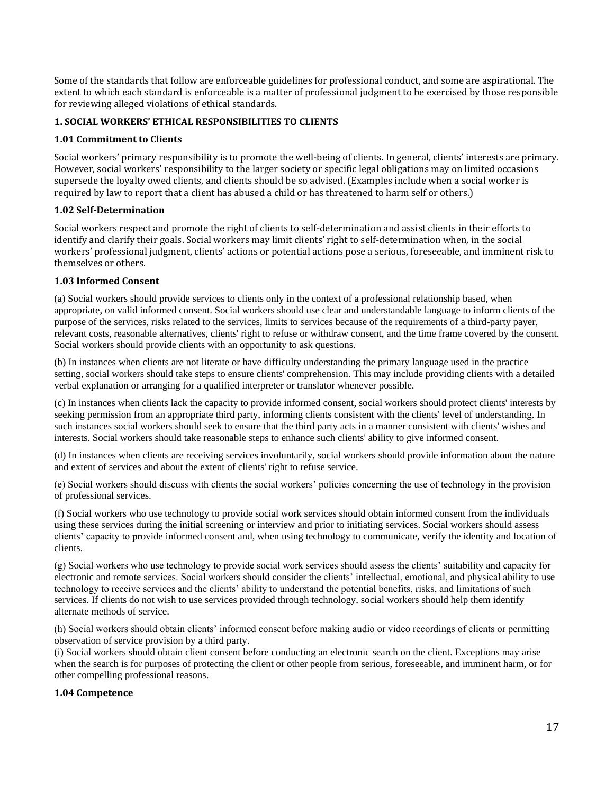Some of the standards that follow are enforceable guidelines for professional conduct, and some are aspirational. The extent to which each standard is enforceable is a matter of professional judgment to be exercised by those responsible for reviewing alleged violations of ethical standards.

#### **1. SOCIAL WORKERS' ETHICAL RESPONSIBILITIES TO CLIENTS**

#### **1.01 Commitment to Clients**

Social workers' primary responsibility is to promote the well-being of clients. In general, clients' interests are primary. However, social workers' responsibility to the larger society or specific legal obligations may on limited occasions supersede the loyalty owed clients, and clients should be so advised. (Examples include when a social worker is required by law to report that a client has abused a child or has threatened to harm self or others.)

#### **1.02 Self-Determination**

Social workers respect and promote the right of clients to self-determination and assist clients in their efforts to identify and clarify their goals. Social workers may limit clients' right to self-determination when, in the social workers' professional judgment, clients' actions or potential actions pose a serious, foreseeable, and imminent risk to themselves or others.

#### **1.03 Informed Consent**

(a) Social workers should provide services to clients only in the context of a professional relationship based, when appropriate, on valid informed consent. Social workers should use clear and understandable language to inform clients of the purpose of the services, risks related to the services, limits to services because of the requirements of a third-party payer, relevant costs, reasonable alternatives, clients' right to refuse or withdraw consent, and the time frame covered by the consent. Social workers should provide clients with an opportunity to ask questions.

(b) In instances when clients are not literate or have difficulty understanding the primary language used in the practice setting, social workers should take steps to ensure clients' comprehension. This may include providing clients with a detailed verbal explanation or arranging for a qualified interpreter or translator whenever possible.

(c) In instances when clients lack the capacity to provide informed consent, social workers should protect clients' interests by seeking permission from an appropriate third party, informing clients consistent with the clients' level of understanding. In such instances social workers should seek to ensure that the third party acts in a manner consistent with clients' wishes and interests. Social workers should take reasonable steps to enhance such clients' ability to give informed consent.

(d) In instances when clients are receiving services involuntarily, social workers should provide information about the nature and extent of services and about the extent of clients' right to refuse service.

(e) Social workers should discuss with clients the social workers' policies concerning the use of technology in the provision of professional services.

(f) Social workers who use technology to provide social work services should obtain informed consent from the individuals using these services during the initial screening or interview and prior to initiating services. Social workers should assess clients' capacity to provide informed consent and, when using technology to communicate, verify the identity and location of clients.

(g) Social workers who use technology to provide social work services should assess the clients' suitability and capacity for electronic and remote services. Social workers should consider the clients' intellectual, emotional, and physical ability to use technology to receive services and the clients' ability to understand the potential benefits, risks, and limitations of such services. If clients do not wish to use services provided through technology, social workers should help them identify alternate methods of service.

(h) Social workers should obtain clients' informed consent before making audio or video recordings of clients or permitting observation of service provision by a third party.

(i) Social workers should obtain client consent before conducting an electronic search on the client. Exceptions may arise when the search is for purposes of protecting the client or other people from serious, foreseeable, and imminent harm, or for other compelling professional reasons.

#### **1.04 Competence**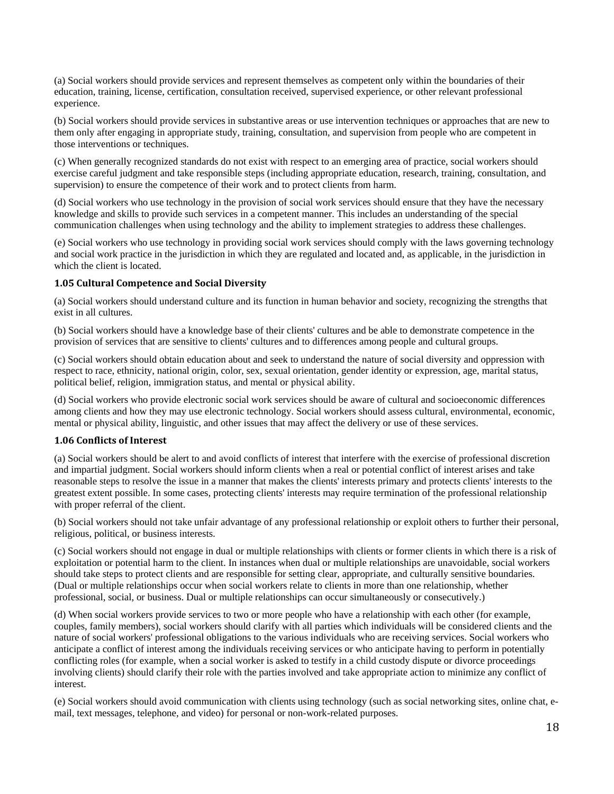(a) Social workers should provide services and represent themselves as competent only within the boundaries of their education, training, license, certification, consultation received, supervised experience, or other relevant professional experience.

(b) Social workers should provide services in substantive areas or use intervention techniques or approaches that are new to them only after engaging in appropriate study, training, consultation, and supervision from people who are competent in those interventions or techniques.

(c) When generally recognized standards do not exist with respect to an emerging area of practice, social workers should exercise careful judgment and take responsible steps (including appropriate education, research, training, consultation, and supervision) to ensure the competence of their work and to protect clients from harm.

(d) Social workers who use technology in the provision of social work services should ensure that they have the necessary knowledge and skills to provide such services in a competent manner. This includes an understanding of the special communication challenges when using technology and the ability to implement strategies to address these challenges.

(e) Social workers who use technology in providing social work services should comply with the laws governing technology and social work practice in the jurisdiction in which they are regulated and located and, as applicable, in the jurisdiction in which the client is located.

#### **1.05 Cultural Competence and Social Diversity**

(a) Social workers should understand culture and its function in human behavior and society, recognizing the strengths that exist in all cultures.

(b) Social workers should have a knowledge base of their clients' cultures and be able to demonstrate competence in the provision of services that are sensitive to clients' cultures and to differences among people and cultural groups.

(c) Social workers should obtain education about and seek to understand the nature of social diversity and oppression with respect to race, ethnicity, national origin, color, sex, sexual orientation, gender identity or expression, age, marital status, political belief, religion, immigration status, and mental or physical ability.

(d) Social workers who provide electronic social work services should be aware of cultural and socioeconomic differences among clients and how they may use electronic technology. Social workers should assess cultural, environmental, economic, mental or physical ability, linguistic, and other issues that may affect the delivery or use of these services.

#### **1.06 Conflicts of Interest**

(a) Social workers should be alert to and avoid conflicts of interest that interfere with the exercise of professional discretion and impartial judgment. Social workers should inform clients when a real or potential conflict of interest arises and take reasonable steps to resolve the issue in a manner that makes the clients' interests primary and protects clients' interests to the greatest extent possible. In some cases, protecting clients' interests may require termination of the professional relationship with proper referral of the client.

(b) Social workers should not take unfair advantage of any professional relationship or exploit others to further their personal, religious, political, or business interests.

(c) Social workers should not engage in dual or multiple relationships with clients or former clients in which there is a risk of exploitation or potential harm to the client. In instances when dual or multiple relationships are unavoidable, social workers should take steps to protect clients and are responsible for setting clear, appropriate, and culturally sensitive boundaries. (Dual or multiple relationships occur when social workers relate to clients in more than one relationship, whether professional, social, or business. Dual or multiple relationships can occur simultaneously or consecutively.)

(d) When social workers provide services to two or more people who have a relationship with each other (for example, couples, family members), social workers should clarify with all parties which individuals will be considered clients and the nature of social workers' professional obligations to the various individuals who are receiving services. Social workers who anticipate a conflict of interest among the individuals receiving services or who anticipate having to perform in potentially conflicting roles (for example, when a social worker is asked to testify in a child custody dispute or divorce proceedings involving clients) should clarify their role with the parties involved and take appropriate action to minimize any conflict of interest.

(e) Social workers should avoid communication with clients using technology (such as social networking sites, online chat, email, text messages, telephone, and video) for personal or non-work-related purposes.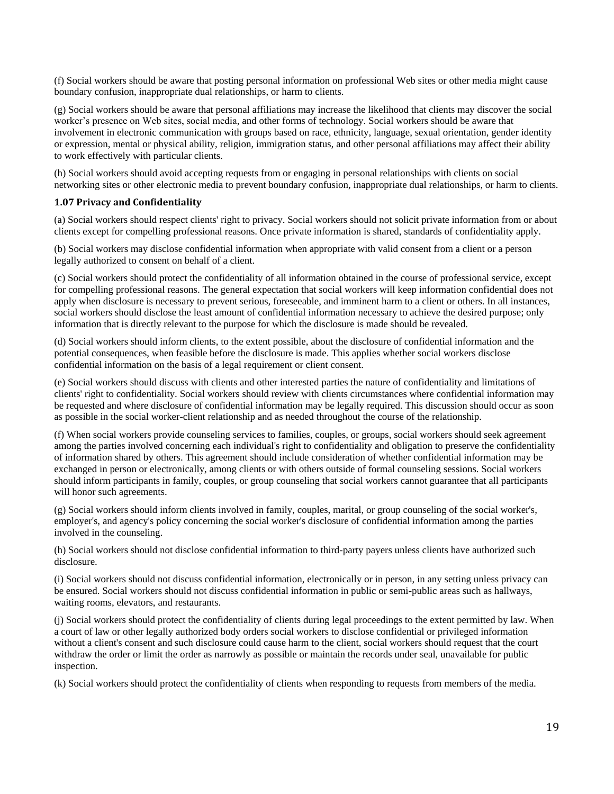(f) Social workers should be aware that posting personal information on professional Web sites or other media might cause boundary confusion, inappropriate dual relationships, or harm to clients.

(g) Social workers should be aware that personal affiliations may increase the likelihood that clients may discover the social worker's presence on Web sites, social media, and other forms of technology. Social workers should be aware that involvement in electronic communication with groups based on race, ethnicity, language, sexual orientation, gender identity or expression, mental or physical ability, religion, immigration status, and other personal affiliations may affect their ability to work effectively with particular clients.

(h) Social workers should avoid accepting requests from or engaging in personal relationships with clients on social networking sites or other electronic media to prevent boundary confusion, inappropriate dual relationships, or harm to clients.

#### **1.07 Privacy and Confidentiality**

(a) Social workers should respect clients' right to privacy. Social workers should not solicit private information from or about clients except for compelling professional reasons. Once private information is shared, standards of confidentiality apply.

(b) Social workers may disclose confidential information when appropriate with valid consent from a client or a person legally authorized to consent on behalf of a client.

(c) Social workers should protect the confidentiality of all information obtained in the course of professional service, except for compelling professional reasons. The general expectation that social workers will keep information confidential does not apply when disclosure is necessary to prevent serious, foreseeable, and imminent harm to a client or others. In all instances, social workers should disclose the least amount of confidential information necessary to achieve the desired purpose; only information that is directly relevant to the purpose for which the disclosure is made should be revealed.

(d) Social workers should inform clients, to the extent possible, about the disclosure of confidential information and the potential consequences, when feasible before the disclosure is made. This applies whether social workers disclose confidential information on the basis of a legal requirement or client consent.

(e) Social workers should discuss with clients and other interested parties the nature of confidentiality and limitations of clients' right to confidentiality. Social workers should review with clients circumstances where confidential information may be requested and where disclosure of confidential information may be legally required. This discussion should occur as soon as possible in the social worker-client relationship and as needed throughout the course of the relationship.

(f) When social workers provide counseling services to families, couples, or groups, social workers should seek agreement among the parties involved concerning each individual's right to confidentiality and obligation to preserve the confidentiality of information shared by others. This agreement should include consideration of whether confidential information may be exchanged in person or electronically, among clients or with others outside of formal counseling sessions. Social workers should inform participants in family, couples, or group counseling that social workers cannot guarantee that all participants will honor such agreements.

(g) Social workers should inform clients involved in family, couples, marital, or group counseling of the social worker's, employer's, and agency's policy concerning the social worker's disclosure of confidential information among the parties involved in the counseling.

(h) Social workers should not disclose confidential information to third-party payers unless clients have authorized such disclosure.

(i) Social workers should not discuss confidential information, electronically or in person, in any setting unless privacy can be ensured. Social workers should not discuss confidential information in public or semi-public areas such as hallways, waiting rooms, elevators, and restaurants.

(j) Social workers should protect the confidentiality of clients during legal proceedings to the extent permitted by law. When a court of law or other legally authorized body orders social workers to disclose confidential or privileged information without a client's consent and such disclosure could cause harm to the client, social workers should request that the court withdraw the order or limit the order as narrowly as possible or maintain the records under seal, unavailable for public inspection.

(k) Social workers should protect the confidentiality of clients when responding to requests from members of the media.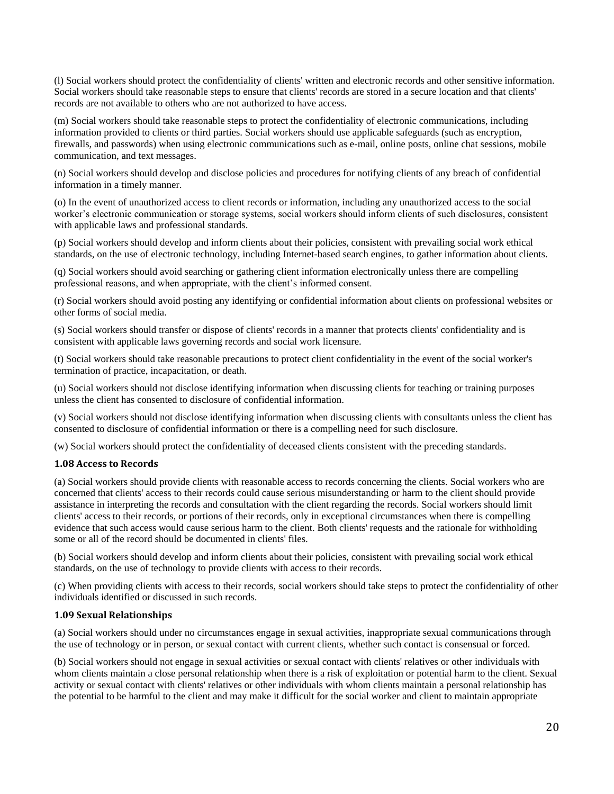(l) Social workers should protect the confidentiality of clients' written and electronic records and other sensitive information. Social workers should take reasonable steps to ensure that clients' records are stored in a secure location and that clients' records are not available to others who are not authorized to have access.

(m) Social workers should take reasonable steps to protect the confidentiality of electronic communications, including information provided to clients or third parties. Social workers should use applicable safeguards (such as encryption, firewalls, and passwords) when using electronic communications such as e-mail, online posts, online chat sessions, mobile communication, and text messages.

(n) Social workers should develop and disclose policies and procedures for notifying clients of any breach of confidential information in a timely manner.

(o) In the event of unauthorized access to client records or information, including any unauthorized access to the social worker's electronic communication or storage systems, social workers should inform clients of such disclosures, consistent with applicable laws and professional standards.

(p) Social workers should develop and inform clients about their policies, consistent with prevailing social work ethical standards, on the use of electronic technology, including Internet-based search engines, to gather information about clients.

(q) Social workers should avoid searching or gathering client information electronically unless there are compelling professional reasons, and when appropriate, with the client's informed consent.

(r) Social workers should avoid posting any identifying or confidential information about clients on professional websites or other forms of social media.

(s) Social workers should transfer or dispose of clients' records in a manner that protects clients' confidentiality and is consistent with applicable laws governing records and social work licensure.

(t) Social workers should take reasonable precautions to protect client confidentiality in the event of the social worker's termination of practice, incapacitation, or death.

(u) Social workers should not disclose identifying information when discussing clients for teaching or training purposes unless the client has consented to disclosure of confidential information.

(v) Social workers should not disclose identifying information when discussing clients with consultants unless the client has consented to disclosure of confidential information or there is a compelling need for such disclosure.

(w) Social workers should protect the confidentiality of deceased clients consistent with the preceding standards.

#### **1.08 Access to Records**

(a) Social workers should provide clients with reasonable access to records concerning the clients. Social workers who are concerned that clients' access to their records could cause serious misunderstanding or harm to the client should provide assistance in interpreting the records and consultation with the client regarding the records. Social workers should limit clients' access to their records, or portions of their records, only in exceptional circumstances when there is compelling evidence that such access would cause serious harm to the client. Both clients' requests and the rationale for withholding some or all of the record should be documented in clients' files.

(b) Social workers should develop and inform clients about their policies, consistent with prevailing social work ethical standards, on the use of technology to provide clients with access to their records.

(c) When providing clients with access to their records, social workers should take steps to protect the confidentiality of other individuals identified or discussed in such records.

#### **1.09 Sexual Relationships**

(a) Social workers should under no circumstances engage in sexual activities, inappropriate sexual communications through the use of technology or in person, or sexual contact with current clients, whether such contact is consensual or forced.

(b) Social workers should not engage in sexual activities or sexual contact with clients' relatives or other individuals with whom clients maintain a close personal relationship when there is a risk of exploitation or potential harm to the client. Sexual activity or sexual contact with clients' relatives or other individuals with whom clients maintain a personal relationship has the potential to be harmful to the client and may make it difficult for the social worker and client to maintain appropriate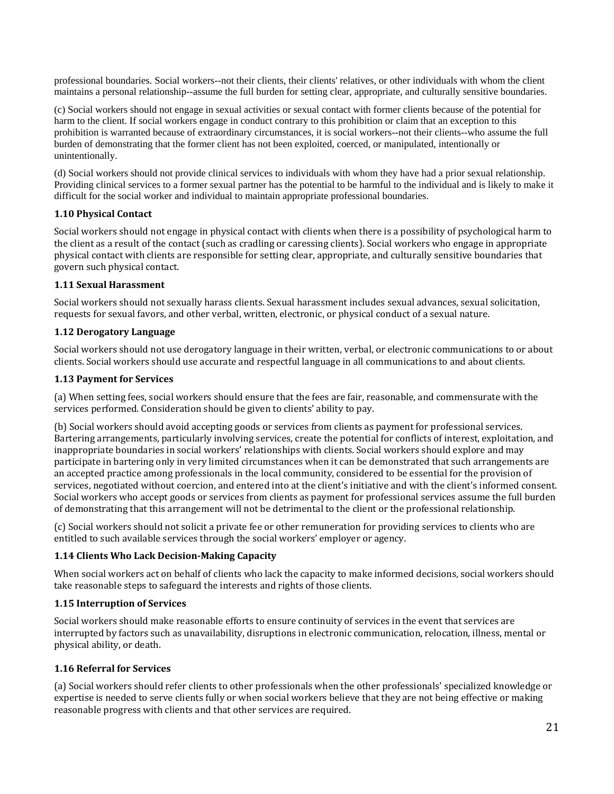professional boundaries. Social workers--not their clients, their clients' relatives, or other individuals with whom the client maintains a personal relationship--assume the full burden for setting clear, appropriate, and culturally sensitive boundaries.

(c) Social workers should not engage in sexual activities or sexual contact with former clients because of the potential for harm to the client. If social workers engage in conduct contrary to this prohibition or claim that an exception to this prohibition is warranted because of extraordinary circumstances, it is social workers--not their clients--who assume the full burden of demonstrating that the former client has not been exploited, coerced, or manipulated, intentionally or unintentionally.

(d) Social workers should not provide clinical services to individuals with whom they have had a prior sexual relationship. Providing clinical services to a former sexual partner has the potential to be harmful to the individual and is likely to make it difficult for the social worker and individual to maintain appropriate professional boundaries.

#### **1.10 Physical Contact**

Social workers should not engage in physical contact with clients when there is a possibility of psychological harm to the client as a result of the contact (such as cradling or caressing clients). Social workers who engage in appropriate physical contact with clients are responsible for setting clear, appropriate, and culturally sensitive boundaries that govern such physical contact.

#### **1.11 Sexual Harassment**

Social workers should not sexually harass clients. Sexual harassment includes sexual advances, sexual solicitation, requests for sexual favors, and other verbal, written, electronic, or physical conduct of a sexual nature.

#### **1.12 Derogatory Language**

Social workers should not use derogatory language in their written, verbal, or electronic communications to or about clients. Social workers should use accurate and respectful language in all communications to and about clients.

#### **1.13 Payment for Services**

(a) When setting fees, social workers should ensure that the fees are fair, reasonable, and commensurate with the services performed. Consideration should be given to clients' ability to pay.

(b) Social workers should avoid accepting goods or services from clients as payment for professional services. Bartering arrangements, particularly involving services, create the potential for conflicts of interest, exploitation, and inappropriate boundaries in social workers' relationships with clients. Social workers should explore and may participate in bartering only in very limited circumstances when it can be demonstrated that such arrangements are an accepted practice among professionals in the local community, considered to be essential for the provision of services, negotiated without coercion, and entered into at the client's initiative and with the client's informed consent. Social workers who accept goods or services from clients as payment for professional services assume the full burden of demonstrating that this arrangement will not be detrimental to the client or the professional relationship.

(c) Social workers should not solicit a private fee or other remuneration for providing services to clients who are entitled to such available services through the social workers' employer or agency.

#### **1.14 Clients Who Lack Decision-Making Capacity**

When social workers act on behalf of clients who lack the capacity to make informed decisions, social workers should take reasonable steps to safeguard the interests and rights of those clients.

#### **1.15 Interruption of Services**

Social workers should make reasonable efforts to ensure continuity of services in the event that services are interrupted by factors such as unavailability, disruptions in electronic communication, relocation, illness, mental or physical ability, or death.

#### **1.16 Referral for Services**

(a) Social workers should refer clients to other professionals when the other professionals' specialized knowledge or expertise is needed to serve clients fully or when social workers believe that they are not being effective or making reasonable progress with clients and that other services are required.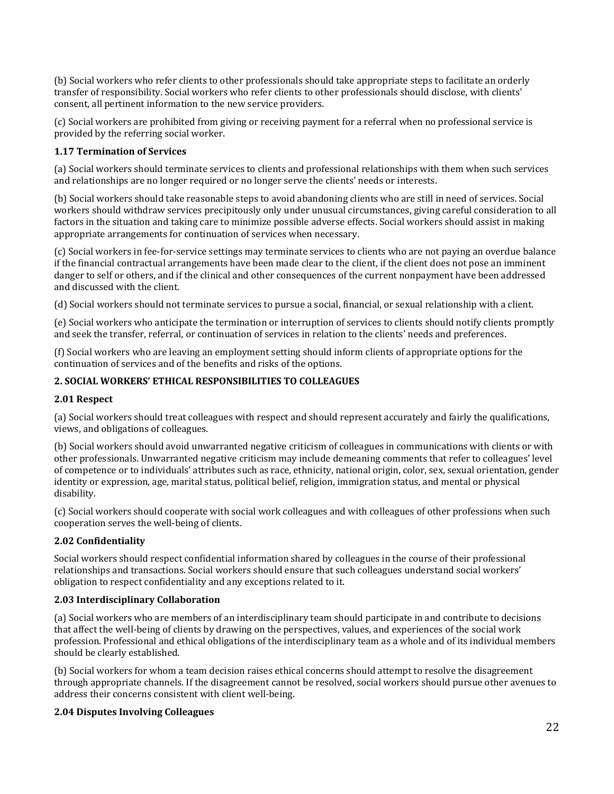(b) Social workers who refer clients to other professionals should take appropriate steps to facilitate an orderly transfer of responsibility. Social workers who refer clients to other professionals should disclose, with clients' consent, all pertinent information to the new service providers.

(c) Social workers are prohibited from giving or receiving payment for a referral when no professional service is provided by the referring social worker.

#### **1.17 Termination of Services**

(a) Social workers should terminate services to clients and professional relationships with them when such services and relationships are no longer required or no longer serve the clients' needs or interests.

(b) Social workers should take reasonable steps to avoid abandoning clients who are still in need of services. Social workers should withdraw services precipitously only under unusual circumstances, giving careful consideration to all factors in the situation and taking care to minimize possible adverse effects. Social workers should assist in making appropriate arrangements for continuation of services when necessary.

(c) Social workers in fee-for-service settings may terminate services to clients who are not paying an overdue balance if the financial contractual arrangements have been made clear to the client, if the client does not pose an imminent danger to self or others, and if the clinical and other consequences of the current nonpayment have been addressed and discussed with the client.

(d) Social workers should not terminate services to pursue a social, financial, or sexual relationship with a client.

(e) Social workers who anticipate the termination or interruption of services to clients should notify clients promptly and seek the transfer, referral, or continuation of services in relation to the clients' needs and preferences.

(f) Social workers who are leaving an employment setting should inform clients of appropriate options for the continuation of services and of the benefits and risks of the options.

#### **2. SOCIAL WORKERS' ETHICAL RESPONSIBILITIES TO COLLEAGUES**

#### **2.01 Respect**

(a) Social workers should treat colleagues with respect and should represent accurately and fairly the qualifications, views, and obligations of colleagues.

(b) Social workers should avoid unwarranted negative criticism of colleagues in communications with clients or with other professionals. Unwarranted negative criticism may include demeaning comments that refer to colleagues' level of competence or to individuals' attributes such as race, ethnicity, national origin, color, sex, sexual orientation, gender identity or expression, age, marital status, political belief, religion, immigration status, and mental or physical disability.

(c) Social workers should cooperate with social work colleagues and with colleagues of other professions when such cooperation serves the well-being of clients.

#### **2.02 Confidentiality**

Social workers should respect confidential information shared by colleagues in the course of their professional relationships and transactions. Social workers should ensure that such colleagues understand social workers' obligation to respect confidentiality and any exceptions related to it.

#### **2.03 Interdisciplinary Collaboration**

(a) Social workers who are members of an interdisciplinary team should participate in and contribute to decisions that affect the well-being of clients by drawing on the perspectives, values, and experiences of the social work profession. Professional and ethical obligations of the interdisciplinary team as a whole and of its individual members should be clearly established.

(b) Social workers for whom a team decision raises ethical concerns should attempt to resolve the disagreement through appropriate channels. If the disagreement cannot be resolved, social workers should pursue other avenues to address their concerns consistent with client well-being.

#### **2.04 Disputes Involving Colleagues**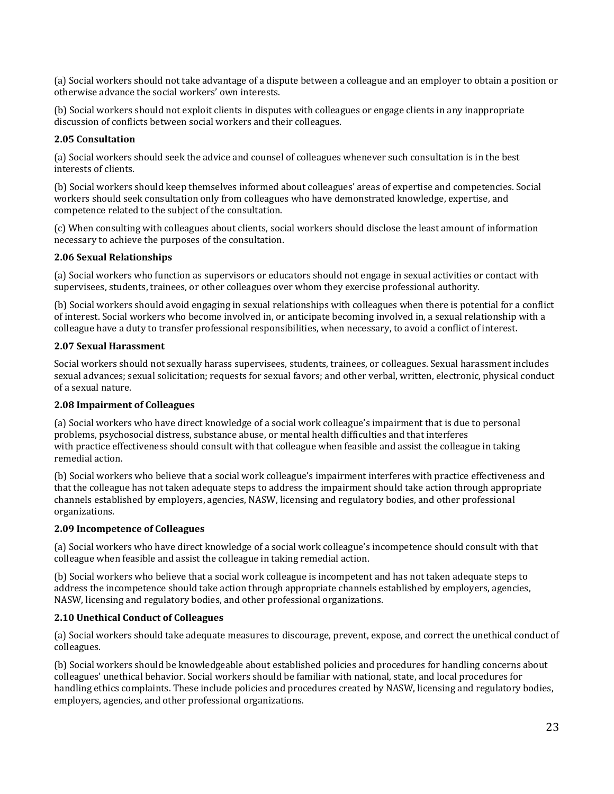(a) Social workers should not take advantage of a dispute between a colleague and an employer to obtain a position or otherwise advance the social workers' own interests.

(b) Social workers should not exploit clients in disputes with colleagues or engage clients in any inappropriate discussion of conflicts between social workers and their colleagues.

#### **2.05 Consultation**

(a) Social workers should seek the advice and counsel of colleagues whenever such consultation is in the best interests of clients.

(b) Social workers should keep themselves informed about colleagues' areas of expertise and competencies. Social workers should seek consultation only from colleagues who have demonstrated knowledge, expertise, and competence related to the subject of the consultation.

(c) When consulting with colleagues about clients, social workers should disclose the least amount of information necessary to achieve the purposes of the consultation.

#### **2.06 Sexual Relationships**

(a) Social workers who function as supervisors or educators should not engage in sexual activities or contact with supervisees, students, trainees, or other colleagues over whom they exercise professional authority.

(b) Social workers should avoid engaging in sexual relationships with colleagues when there is potential for a conflict of interest. Social workers who become involved in, or anticipate becoming involved in, a sexual relationship with a colleague have a duty to transfer professional responsibilities, when necessary, to avoid a conflict of interest.

#### **2.07 Sexual Harassment**

Social workers should not sexually harass supervisees, students, trainees, or colleagues. Sexual harassment includes sexual advances; sexual solicitation; requests for sexual favors; and other verbal, written, electronic, physical conduct of a sexual nature.

#### **2.08 Impairment of Colleagues**

(a) Social workers who have direct knowledge of a social work colleague's impairment that is due to personal problems, psychosocial distress, substance abuse, or mental health difficulties and that interferes with practice effectiveness should consult with that colleague when feasible and assist the colleague in taking remedial action.

(b) Social workers who believe that a social work colleague's impairment interferes with practice effectiveness and that the colleague has not taken adequate steps to address the impairment should take action through appropriate channels established by employers, agencies, NASW, licensing and regulatory bodies, and other professional organizations.

#### **2.09 Incompetence of Colleagues**

(a) Social workers who have direct knowledge of a social work colleague's incompetence should consult with that colleague when feasible and assist the colleague in taking remedial action.

(b) Social workers who believe that a social work colleague is incompetent and has not taken adequate steps to address the incompetence should take action through appropriate channels established by employers, agencies, NASW, licensing and regulatory bodies, and other professional organizations.

#### **2.10 Unethical Conduct of Colleagues**

(a) Social workers should take adequate measures to discourage, prevent, expose, and correct the unethical conduct of colleagues.

(b) Social workers should be knowledgeable about established policies and procedures for handling concerns about colleagues' unethical behavior. Social workers should be familiar with national, state, and local procedures for handling ethics complaints. These include policies and procedures created by NASW, licensing and regulatory bodies, employers, agencies, and other professional organizations.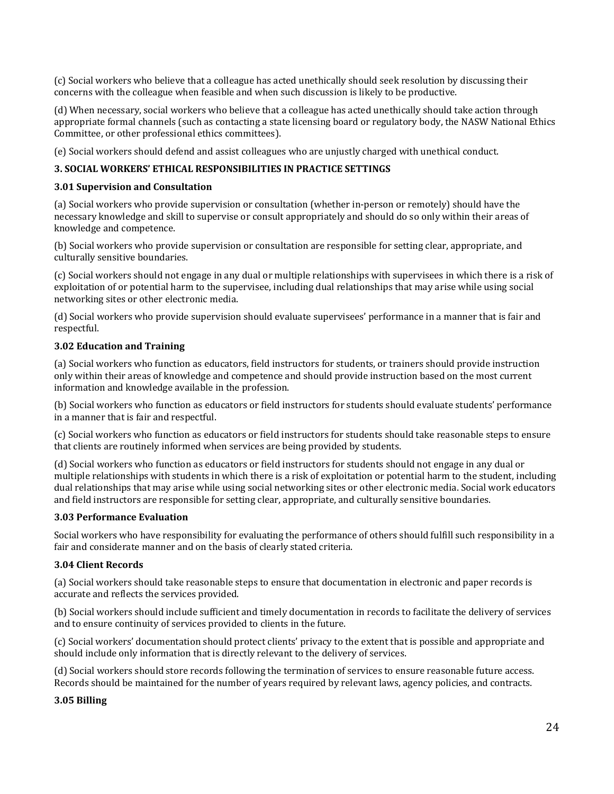(c) Social workers who believe that a colleague has acted unethically should seek resolution by discussing their concerns with the colleague when feasible and when such discussion is likely to be productive.

(d) When necessary, social workers who believe that a colleague has acted unethically should take action through appropriate formal channels (such as contacting a state licensing board or regulatory body, the NASW National Ethics Committee, or other professional ethics committees).

(e) Social workers should defend and assist colleagues who are unjustly charged with unethical conduct.

#### **3. SOCIAL WORKERS' ETHICAL RESPONSIBILITIES IN PRACTICE SETTINGS**

#### **3.01 Supervision and Consultation**

(a) Social workers who provide supervision or consultation (whether in-person or remotely) should have the necessary knowledge and skill to supervise or consult appropriately and should do so only within their areas of knowledge and competence.

(b) Social workers who provide supervision or consultation are responsible for setting clear, appropriate, and culturally sensitive boundaries.

(c) Social workers should not engage in any dual or multiple relationships with supervisees in which there is a risk of exploitation of or potential harm to the supervisee, including dual relationships that may arise while using social networking sites or other electronic media.

(d) Social workers who provide supervision should evaluate supervisees' performance in a manner that is fair and respectful.

#### **3.02 Education and Training**

(a) Social workers who function as educators, field instructors for students, or trainers should provide instruction only within their areas of knowledge and competence and should provide instruction based on the most current information and knowledge available in the profession.

(b) Social workers who function as educators or field instructors for students should evaluate students' performance in a manner that is fair and respectful.

(c) Social workers who function as educators or field instructors for students should take reasonable steps to ensure that clients are routinely informed when services are being provided by students.

(d) Social workers who function as educators or field instructors for students should not engage in any dual or multiple relationships with students in which there is a risk of exploitation or potential harm to the student, including dual relationships that may arise while using social networking sites or other electronic media. Social work educators and field instructors are responsible for setting clear, appropriate, and culturally sensitive boundaries.

#### **3.03 Performance Evaluation**

Social workers who have responsibility for evaluating the performance of others should fulfill such responsibility in a fair and considerate manner and on the basis of clearly stated criteria.

#### **3.04 Client Records**

(a) Social workers should take reasonable steps to ensure that documentation in electronic and paper records is accurate and reflects the services provided.

(b) Social workers should include sufficient and timely documentation in records to facilitate the delivery of services and to ensure continuity of services provided to clients in the future.

(c) Social workers' documentation should protect clients' privacy to the extent that is possible and appropriate and should include only information that is directly relevant to the delivery of services.

(d) Social workers should store records following the termination of services to ensure reasonable future access. Records should be maintained for the number of years required by relevant laws, agency policies, and contracts.

#### **3.05 Billing**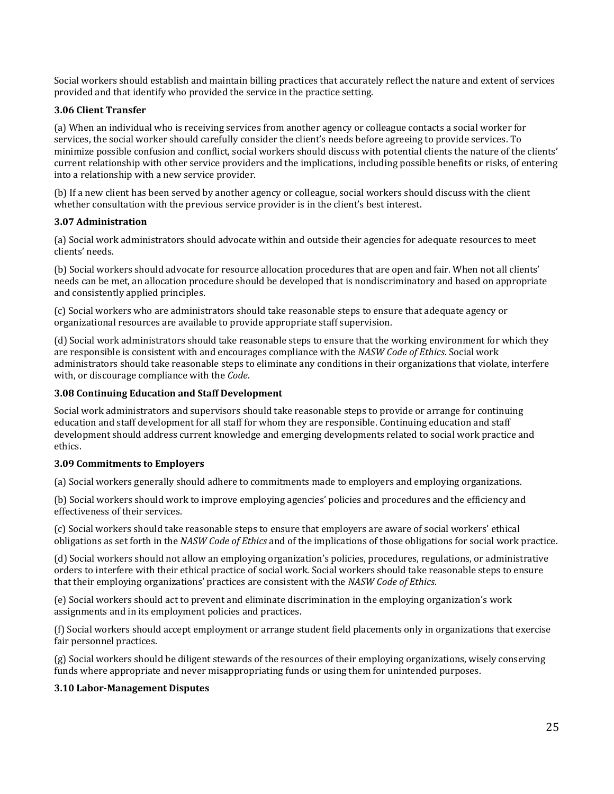Social workers should establish and maintain billing practices that accurately reflect the nature and extent of services provided and that identify who provided the service in the practice setting.

#### **3.06 Client Transfer**

(a) When an individual who is receiving services from another agency or colleague contacts a social worker for services, the social worker should carefully consider the client's needs before agreeing to provide services. To minimize possible confusion and conflict, social workers should discuss with potential clients the nature of the clients' current relationship with other service providers and the implications, including possible benefits or risks, of entering into a relationship with a new service provider.

(b) If a new client has been served by another agency or colleague, social workers should discuss with the client whether consultation with the previous service provider is in the client's best interest.

#### **3.07 Administration**

(a) Social work administrators should advocate within and outside their agencies for adequate resources to meet clients' needs.

(b) Social workers should advocate for resource allocation procedures that are open and fair. When not all clients' needs can be met, an allocation procedure should be developed that is nondiscriminatory and based on appropriate and consistently applied principles.

(c) Social workers who are administrators should take reasonable steps to ensure that adequate agency or organizational resources are available to provide appropriate staff supervision.

(d) Social work administrators should take reasonable steps to ensure that the working environment for which they are responsible is consistent with and encourages compliance with the *NASW Code of Ethics*. Social work administrators should take reasonable steps to eliminate any conditions in their organizations that violate, interfere with, or discourage compliance with the *Code*.

#### **3.08 Continuing Education and Staff Development**

Social work administrators and supervisors should take reasonable steps to provide or arrange for continuing education and staff development for all staff for whom they are responsible. Continuing education and staff development should address current knowledge and emerging developments related to social work practice and ethics.

#### **3.09 Commitments to Employers**

(a) Social workers generally should adhere to commitments made to employers and employing organizations.

(b) Social workers should work to improve employing agencies' policies and procedures and the efficiency and effectiveness of their services.

(c) Social workers should take reasonable steps to ensure that employers are aware of social workers' ethical obligations as set forth in the *NASW Code of Ethics* and of the implications of those obligations for social work practice.

(d) Social workers should not allow an employing organization's policies, procedures, regulations, or administrative orders to interfere with their ethical practice of social work. Social workers should take reasonable steps to ensure that their employing organizations' practices are consistent with the *NASW Code of Ethics*.

(e) Social workers should act to prevent and eliminate discrimination in the employing organization's work assignments and in its employment policies and practices.

(f) Social workers should accept employment or arrange student field placements only in organizations that exercise fair personnel practices.

(g) Social workers should be diligent stewards of the resources of their employing organizations, wisely conserving funds where appropriate and never misappropriating funds or using them for unintended purposes.

#### **3.10 Labor-Management Disputes**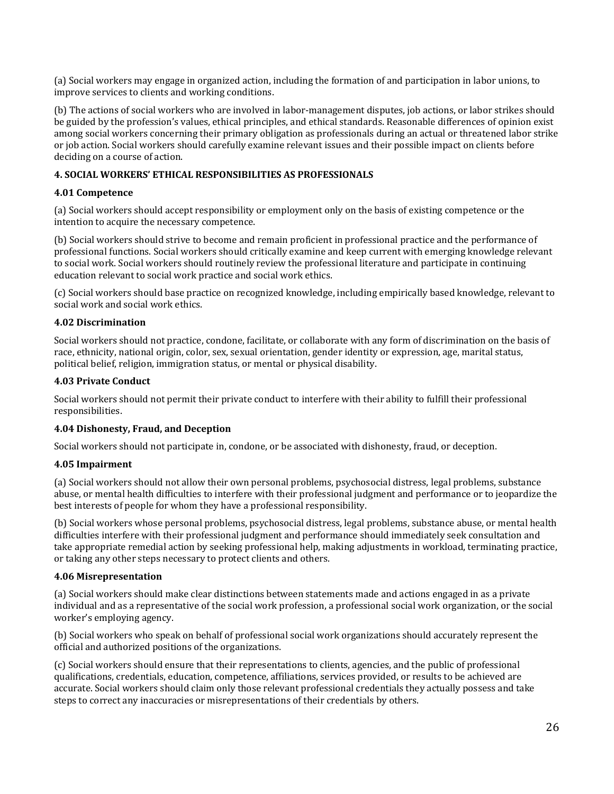(a) Social workers may engage in organized action, including the formation of and participation in labor unions, to improve services to clients and working conditions.

(b) The actions of social workers who are involved in labor-management disputes, job actions, or labor strikes should be guided by the profession's values, ethical principles, and ethical standards. Reasonable differences of opinion exist among social workers concerning their primary obligation as professionals during an actual or threatened labor strike or job action. Social workers should carefully examine relevant issues and their possible impact on clients before deciding on a course of action.

#### **4. SOCIAL WORKERS' ETHICAL RESPONSIBILITIES AS PROFESSIONALS**

#### **4.01 Competence**

(a) Social workers should accept responsibility or employment only on the basis of existing competence or the intention to acquire the necessary competence.

(b) Social workers should strive to become and remain proficient in professional practice and the performance of professional functions. Social workers should critically examine and keep current with emerging knowledge relevant to social work. Social workers should routinely review the professional literature and participate in continuing education relevant to social work practice and social work ethics.

(c) Social workers should base practice on recognized knowledge, including empirically based knowledge, relevant to social work and social work ethics.

#### **4.02 Discrimination**

Social workers should not practice, condone, facilitate, or collaborate with any form of discrimination on the basis of race, ethnicity, national origin, color, sex, sexual orientation, gender identity or expression, age, marital status, political belief, religion, immigration status, or mental or physical disability.

#### **4.03 Private Conduct**

Social workers should not permit their private conduct to interfere with their ability to fulfill their professional responsibilities.

#### **4.04 Dishonesty, Fraud, and Deception**

Social workers should not participate in, condone, or be associated with dishonesty, fraud, or deception.

#### **4.05 Impairment**

(a) Social workers should not allow their own personal problems, psychosocial distress, legal problems, substance abuse, or mental health difficulties to interfere with their professional judgment and performance or to jeopardize the best interests of people for whom they have a professional responsibility.

(b) Social workers whose personal problems, psychosocial distress, legal problems, substance abuse, or mental health difficulties interfere with their professional judgment and performance should immediately seek consultation and take appropriate remedial action by seeking professional help, making adjustments in workload, terminating practice, or taking any other steps necessary to protect clients and others.

#### **4.06 Misrepresentation**

(a) Social workers should make clear distinctions between statements made and actions engaged in as a private individual and as a representative of the social work profession, a professional social work organization, or the social worker's employing agency.

(b) Social workers who speak on behalf of professional social work organizations should accurately represent the official and authorized positions of the organizations.

(c) Social workers should ensure that their representations to clients, agencies, and the public of professional qualifications, credentials, education, competence, affiliations, services provided, or results to be achieved are accurate. Social workers should claim only those relevant professional credentials they actually possess and take steps to correct any inaccuracies or misrepresentations of their credentials by others.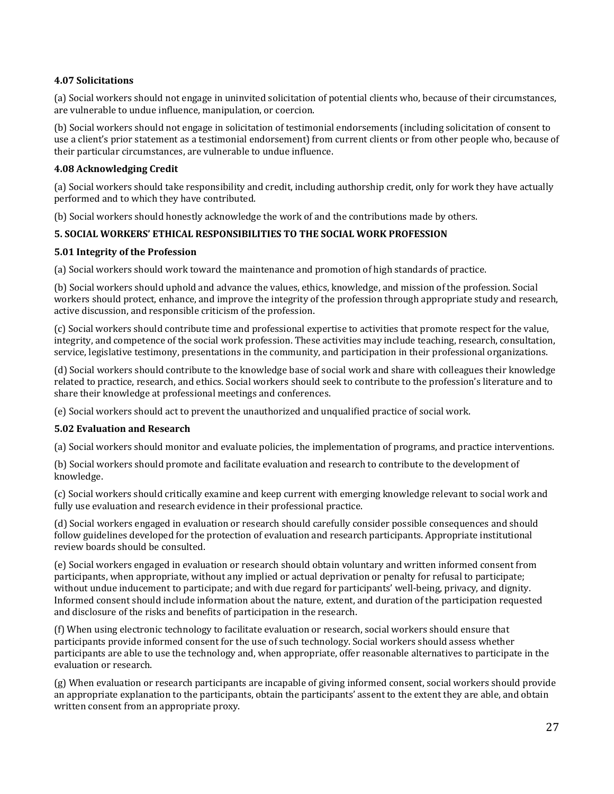#### **4.07 Solicitations**

(a) Social workers should not engage in uninvited solicitation of potential clients who, because of their circumstances, are vulnerable to undue influence, manipulation, or coercion.

(b) Social workers should not engage in solicitation of testimonial endorsements (including solicitation of consent to use a client's prior statement as a testimonial endorsement) from current clients or from other people who, because of their particular circumstances, are vulnerable to undue influence.

#### **4.08 Acknowledging Credit**

(a) Social workers should take responsibility and credit, including authorship credit, only for work they have actually performed and to which they have contributed.

(b) Social workers should honestly acknowledge the work of and the contributions made by others.

### **5. SOCIAL WORKERS' ETHICAL RESPONSIBILITIES TO THE SOCIAL WORK PROFESSION**

#### **5.01 Integrity of the Profession**

(a) Social workers should work toward the maintenance and promotion of high standards of practice.

(b) Social workers should uphold and advance the values, ethics, knowledge, and mission of the profession. Social workers should protect, enhance, and improve the integrity of the profession through appropriate study and research, active discussion, and responsible criticism of the profession.

(c) Social workers should contribute time and professional expertise to activities that promote respect for the value, integrity, and competence of the social work profession. These activities may include teaching, research, consultation, service, legislative testimony, presentations in the community, and participation in their professional organizations.

(d) Social workers should contribute to the knowledge base of social work and share with colleagues their knowledge related to practice, research, and ethics. Social workers should seek to contribute to the profession's literature and to share their knowledge at professional meetings and conferences.

(e) Social workers should act to prevent the unauthorized and unqualified practice of social work.

#### **5.02 Evaluation and Research**

(a) Social workers should monitor and evaluate policies, the implementation of programs, and practice interventions.

(b) Social workers should promote and facilitate evaluation and research to contribute to the development of knowledge.

(c) Social workers should critically examine and keep current with emerging knowledge relevant to social work and fully use evaluation and research evidence in their professional practice.

(d) Social workers engaged in evaluation or research should carefully consider possible consequences and should follow guidelines developed for the protection of evaluation and research participants. Appropriate institutional review boards should be consulted.

(e) Social workers engaged in evaluation or research should obtain voluntary and written informed consent from participants, when appropriate, without any implied or actual deprivation or penalty for refusal to participate; without undue inducement to participate; and with due regard for participants' well-being, privacy, and dignity. Informed consent should include information about the nature, extent, and duration of the participation requested and disclosure of the risks and benefits of participation in the research.

(f) When using electronic technology to facilitate evaluation or research, social workers should ensure that participants provide informed consent for the use of such technology. Social workers should assess whether participants are able to use the technology and, when appropriate, offer reasonable alternatives to participate in the evaluation or research.

(g) When evaluation or research participants are incapable of giving informed consent, social workers should provide an appropriate explanation to the participants, obtain the participants' assent to the extent they are able, and obtain written consent from an appropriate proxy.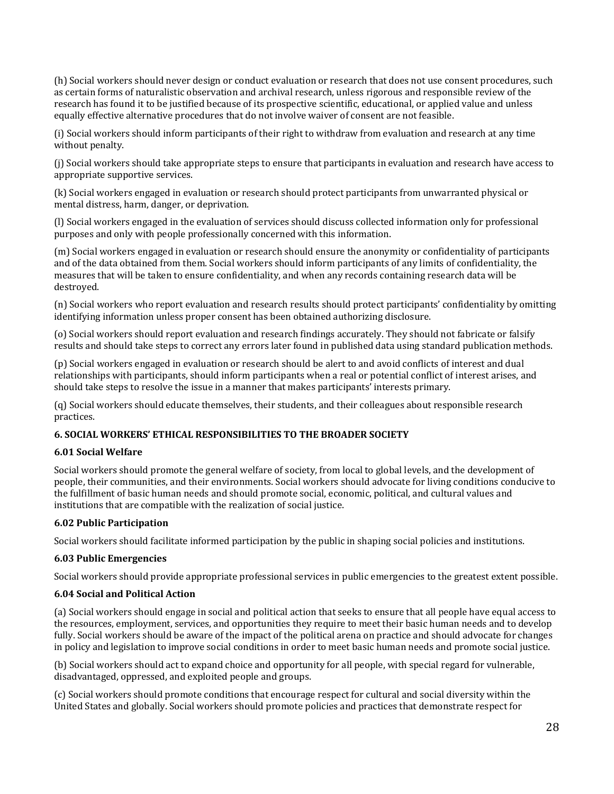(h) Social workers should never design or conduct evaluation or research that does not use consent procedures, such as certain forms of naturalistic observation and archival research, unless rigorous and responsible review of the research has found it to be justified because of its prospective scientific, educational, or applied value and unless equally effective alternative procedures that do not involve waiver of consent are not feasible.

(i) Social workers should inform participants of their right to withdraw from evaluation and research at any time without penalty.

(j) Social workers should take appropriate steps to ensure that participants in evaluation and research have access to appropriate supportive services.

(k) Social workers engaged in evaluation or research should protect participants from unwarranted physical or mental distress, harm, danger, or deprivation.

(l) Social workers engaged in the evaluation of services should discuss collected information only for professional purposes and only with people professionally concerned with this information.

(m) Social workers engaged in evaluation or research should ensure the anonymity or confidentiality of participants and of the data obtained from them. Social workers should inform participants of any limits of confidentiality, the measures that will be taken to ensure confidentiality, and when any records containing research data will be destroyed.

(n) Social workers who report evaluation and research results should protect participants' confidentiality by omitting identifying information unless proper consent has been obtained authorizing disclosure.

(o) Social workers should report evaluation and research findings accurately. They should not fabricate or falsify results and should take steps to correct any errors later found in published data using standard publication methods.

(p) Social workers engaged in evaluation or research should be alert to and avoid conflicts of interest and dual relationships with participants, should inform participants when a real or potential conflict of interest arises, and should take steps to resolve the issue in a manner that makes participants' interests primary.

(q) Social workers should educate themselves, their students, and their colleagues about responsible research practices.

#### **6. SOCIAL WORKERS' ETHICAL RESPONSIBILITIES TO THE BROADER SOCIETY**

#### **6.01 Social Welfare**

Social workers should promote the general welfare of society, from local to global levels, and the development of people, their communities, and their environments. Social workers should advocate for living conditions conducive to the fulfillment of basic human needs and should promote social, economic, political, and cultural values and institutions that are compatible with the realization of social justice.

#### **6.02 Public Participation**

Social workers should facilitate informed participation by the public in shaping social policies and institutions.

#### **6.03 Public Emergencies**

Social workers should provide appropriate professional services in public emergencies to the greatest extent possible.

#### **6.04 Social and Political Action**

(a) Social workers should engage in social and political action that seeks to ensure that all people have equal access to the resources, employment, services, and opportunities they require to meet their basic human needs and to develop fully. Social workers should be aware of the impact of the political arena on practice and should advocate for changes in policy and legislation to improve social conditions in order to meet basic human needs and promote social justice.

(b) Social workers should act to expand choice and opportunity for all people, with special regard for vulnerable, disadvantaged, oppressed, and exploited people and groups.

(c) Social workers should promote conditions that encourage respect for cultural and social diversity within the United States and globally. Social workers should promote policies and practices that demonstrate respect for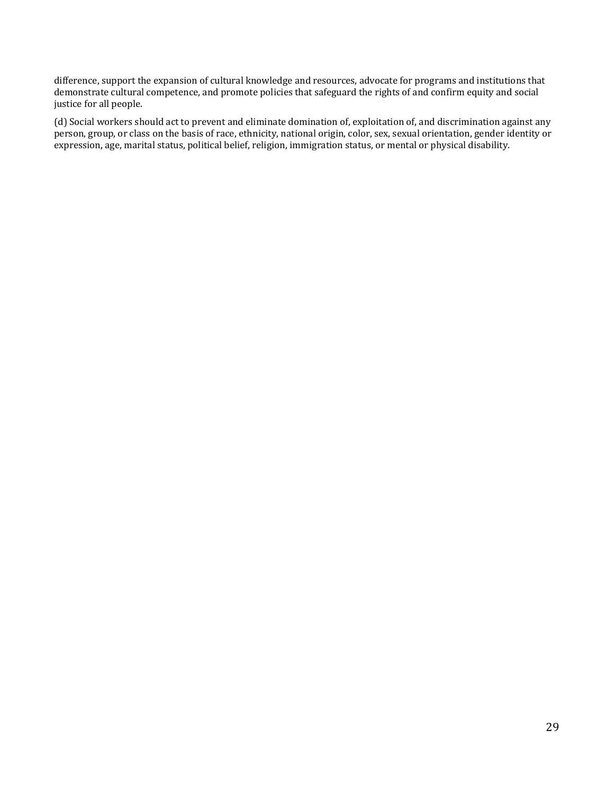difference, support the expansion of cultural knowledge and resources, advocate for programs and institutions that demonstrate cultural competence, and promote policies that safeguard the rights of and confirm equity and social justice for all people.

(d) Social workers should act to prevent and eliminate domination of, exploitation of, and discrimination against any person, group, or class on the basis of race, ethnicity, national origin, color, sex, sexual orientation, gender identity or expression, age, marital status, political belief, religion, immigration status, or mental or physical disability.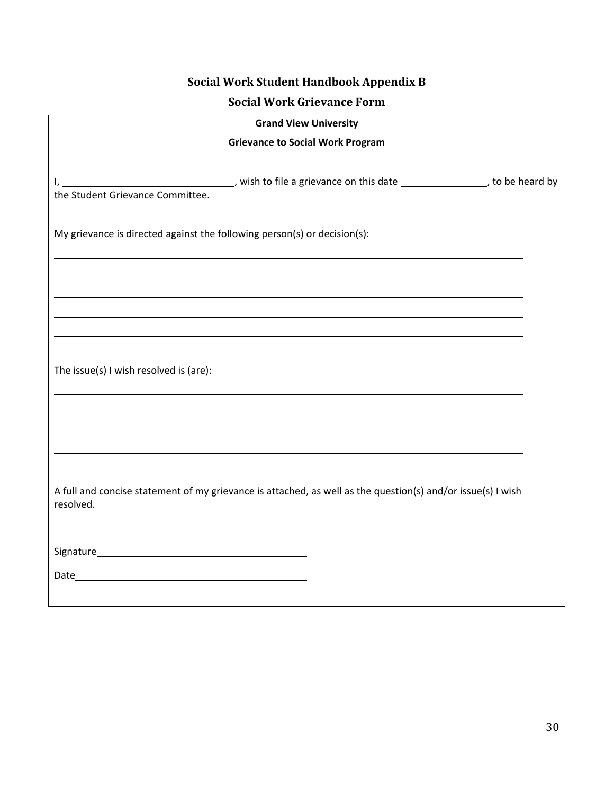## **Social Work Student Handbook Appendix B**

## **Social Work Grievance Form**

| <b>Grand View University</b>                                                                                |
|-------------------------------------------------------------------------------------------------------------|
| <b>Grievance to Social Work Program</b>                                                                     |
|                                                                                                             |
|                                                                                                             |
|                                                                                                             |
|                                                                                                             |
| My grievance is directed against the following person(s) or decision(s):                                    |
|                                                                                                             |
|                                                                                                             |
|                                                                                                             |
|                                                                                                             |
|                                                                                                             |
|                                                                                                             |
| The issue(s) I wish resolved is (are):                                                                      |
|                                                                                                             |
|                                                                                                             |
|                                                                                                             |
|                                                                                                             |
|                                                                                                             |
| A full and concise statement of my grievance is attached, as well as the question(s) and/or issue(s) I wish |
| resolved.                                                                                                   |
|                                                                                                             |
|                                                                                                             |
|                                                                                                             |
|                                                                                                             |
|                                                                                                             |